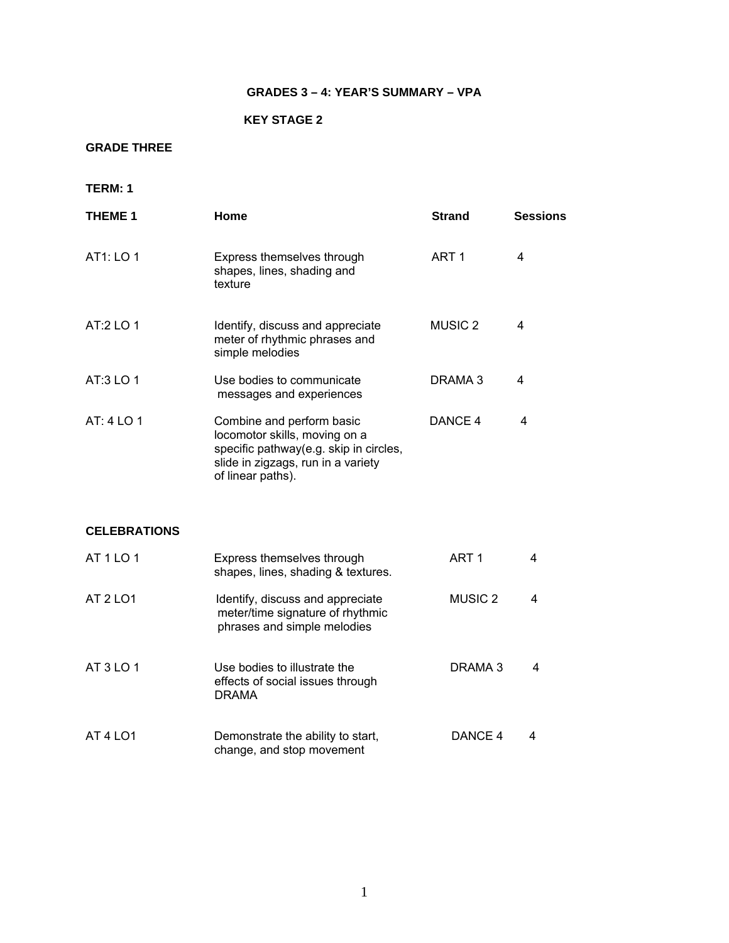## **GRADES 3 – 4: YEAR'S SUMMARY – VPA**

### **KEY STAGE 2**

## **GRADE THREE**

**TERM: 1** 

| <b>THEME 1</b>      | Home                                                                                                                                                            | <b>Strand</b>      | <b>Sessions</b> |
|---------------------|-----------------------------------------------------------------------------------------------------------------------------------------------------------------|--------------------|-----------------|
| AT1: LO 1           | Express themselves through<br>shapes, lines, shading and<br>texture                                                                                             | ART <sub>1</sub>   | $\overline{4}$  |
| AT:2 LO 1           | Identify, discuss and appreciate<br>meter of rhythmic phrases and<br>simple melodies                                                                            | <b>MUSIC 2</b>     | 4               |
| AT:3 LO 1           | Use bodies to communicate<br>messages and experiences                                                                                                           | DRAMA 3            | 4               |
| AT: 4 LO 1          | Combine and perform basic<br>locomotor skills, moving on a<br>specific pathway(e.g. skip in circles,<br>slide in zigzags, run in a variety<br>of linear paths). | DANCE 4            | 4               |
| <b>CELEBRATIONS</b> |                                                                                                                                                                 |                    |                 |
| AT 1 LO 1           | Express themselves through<br>shapes, lines, shading & textures.                                                                                                | ART <sub>1</sub>   | 4               |
| AT 2 LO1            | Identify, discuss and appreciate<br>meter/time signature of rhythmic<br>phrases and simple melodies                                                             | MUSIC <sub>2</sub> | 4               |
| AT 3 LO 1           | Use bodies to illustrate the<br>effects of social issues through<br><b>DRAMA</b>                                                                                | DRAMA 3            | 4               |
| <b>AT 4 LO1</b>     | Demonstrate the ability to start,<br>change, and stop movement                                                                                                  | DANCE 4            | 4               |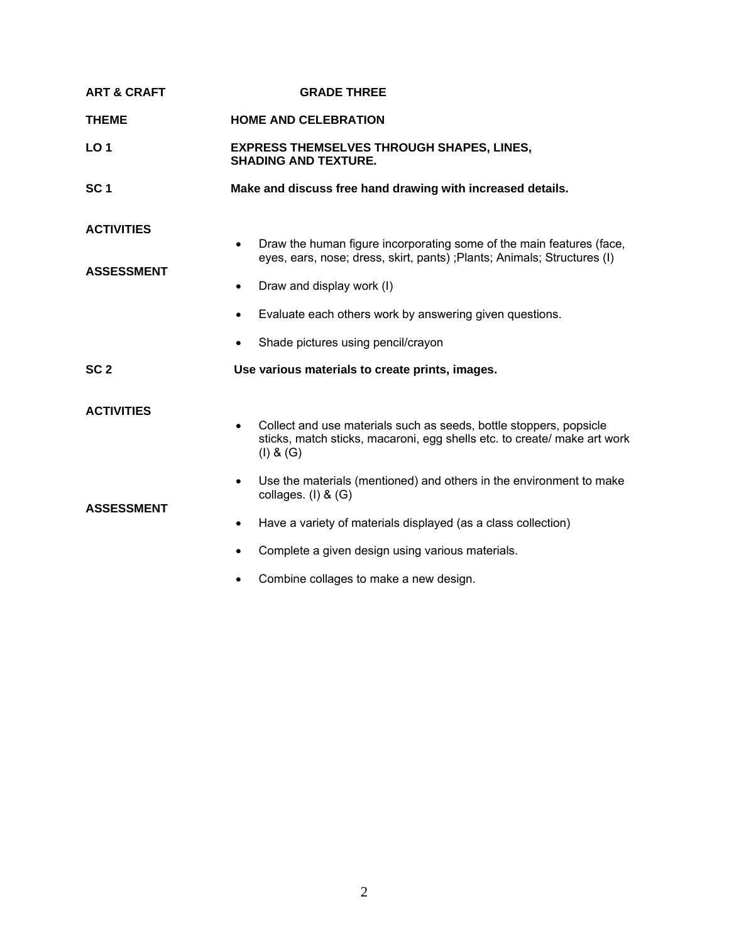| <b>ART &amp; CRAFT</b>                 | <b>GRADE THREE</b>                                                                                                                                                                                                                                                                         |  |
|----------------------------------------|--------------------------------------------------------------------------------------------------------------------------------------------------------------------------------------------------------------------------------------------------------------------------------------------|--|
| <b>THEME</b>                           | <b>HOME AND CELEBRATION</b>                                                                                                                                                                                                                                                                |  |
| LO <sub>1</sub>                        | <b>EXPRESS THEMSELVES THROUGH SHAPES, LINES,</b><br><b>SHADING AND TEXTURE.</b>                                                                                                                                                                                                            |  |
| SC <sub>1</sub>                        | Make and discuss free hand drawing with increased details.                                                                                                                                                                                                                                 |  |
| <b>ACTIVITIES</b><br><b>ASSESSMENT</b> | Draw the human figure incorporating some of the main features (face,<br>$\bullet$<br>eyes, ears, nose; dress, skirt, pants); Plants; Animals; Structures (I)<br>Draw and display work (I)<br>Evaluate each others work by answering given questions.<br>Shade pictures using pencil/crayon |  |
| SC <sub>2</sub>                        | Use various materials to create prints, images.                                                                                                                                                                                                                                            |  |
| <b>ACTIVITIES</b>                      | Collect and use materials such as seeds, bottle stoppers, popsicle<br>$\bullet$<br>sticks, match sticks, macaroni, egg shells etc. to create/ make art work<br>(I) & (G)                                                                                                                   |  |
| <b>ASSESSMENT</b>                      | Use the materials (mentioned) and others in the environment to make<br>$\bullet$<br>collages. $(I)$ & $(G)$<br>Have a variety of materials displayed (as a class collection)<br>$\bullet$<br>Complete a given design using various materials.<br>Combine collages to make a new design.    |  |
|                                        |                                                                                                                                                                                                                                                                                            |  |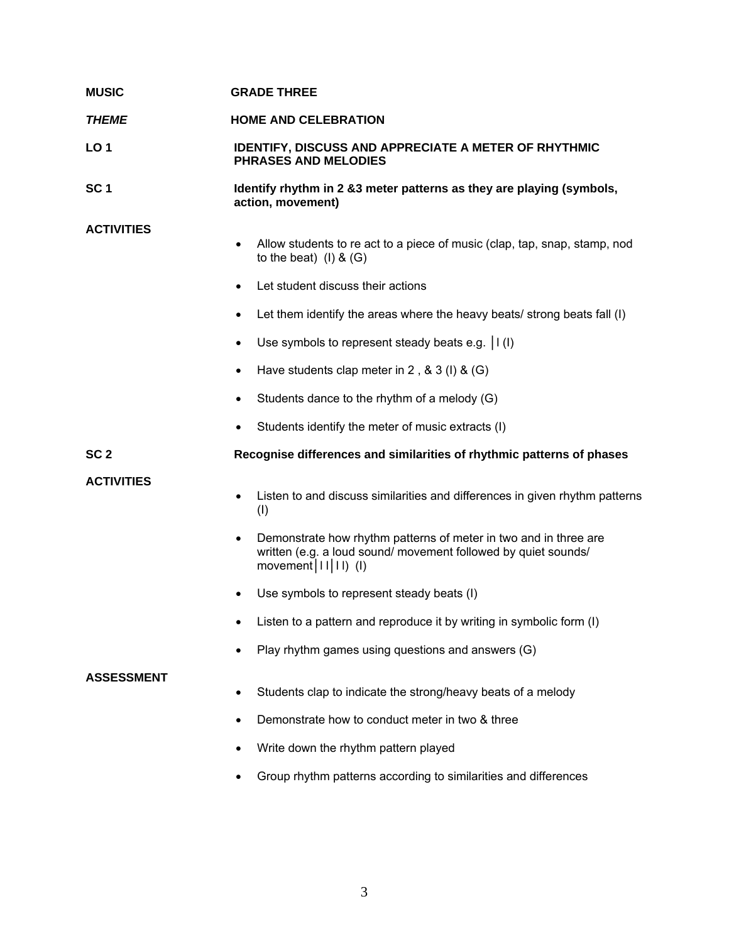| <b>MUSIC</b>      | <b>GRADE THREE</b>                                                                                                                                                 |  |
|-------------------|--------------------------------------------------------------------------------------------------------------------------------------------------------------------|--|
| <b>THEME</b>      | <b>HOME AND CELEBRATION</b>                                                                                                                                        |  |
| <b>LO1</b>        | IDENTIFY, DISCUSS AND APPRECIATE A METER OF RHYTHMIC<br><b>PHRASES AND MELODIES</b>                                                                                |  |
| SC <sub>1</sub>   | Identify rhythm in 2 &3 meter patterns as they are playing (symbols,<br>action, movement)                                                                          |  |
| <b>ACTIVITIES</b> | Allow students to re act to a piece of music (clap, tap, snap, stamp, nod<br>$\bullet$<br>to the beat) $(l)$ & $(G)$                                               |  |
|                   | Let student discuss their actions<br>$\bullet$                                                                                                                     |  |
|                   | Let them identify the areas where the heavy beats/ strong beats fall (I)<br>$\bullet$                                                                              |  |
|                   | Use symbols to represent steady beats e.g. $ I(I) $<br>٠                                                                                                           |  |
|                   | Have students clap meter in 2, $\&$ 3 (I) $\&$ (G)<br>$\bullet$                                                                                                    |  |
|                   | Students dance to the rhythm of a melody (G)<br>٠                                                                                                                  |  |
|                   | Students identify the meter of music extracts (I)                                                                                                                  |  |
|                   |                                                                                                                                                                    |  |
| SC <sub>2</sub>   | Recognise differences and similarities of rhythmic patterns of phases                                                                                              |  |
| <b>ACTIVITIES</b> | Listen to and discuss similarities and differences in given rhythm patterns<br>$\bullet$<br>(1)                                                                    |  |
|                   | Demonstrate how rhythm patterns of meter in two and in three are<br>٠<br>written (e.g. a loud sound/ movement followed by quiet sounds/<br>movement $ 11 11$ ) (I) |  |
|                   | Use symbols to represent steady beats (I)                                                                                                                          |  |
|                   | Listen to a pattern and reproduce it by writing in symbolic form (I)                                                                                               |  |
|                   | Play rhythm games using questions and answers (G)<br>$\bullet$                                                                                                     |  |
| <b>ASSESSMENT</b> | Students clap to indicate the strong/heavy beats of a melody<br>٠                                                                                                  |  |
|                   | Demonstrate how to conduct meter in two & three<br>$\bullet$                                                                                                       |  |
|                   | Write down the rhythm pattern played<br>$\bullet$                                                                                                                  |  |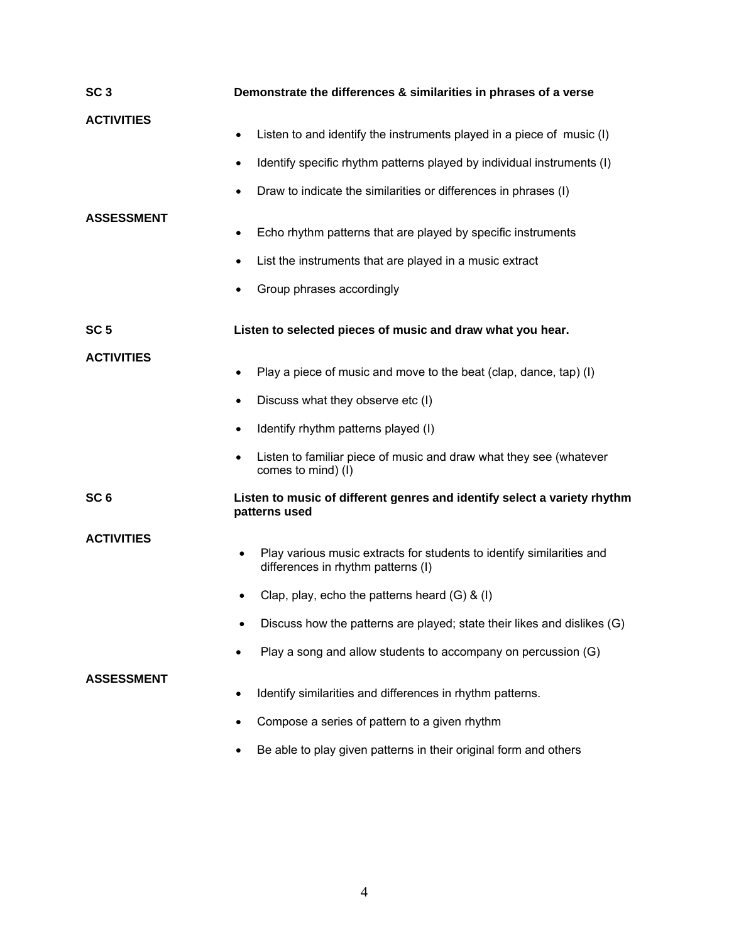| SC <sub>3</sub>   | Demonstrate the differences & similarities in phrases of a verse                                                                                                                                                             |  |
|-------------------|------------------------------------------------------------------------------------------------------------------------------------------------------------------------------------------------------------------------------|--|
| <b>ACTIVITIES</b> | Listen to and identify the instruments played in a piece of music (I)<br>Identify specific rhythm patterns played by individual instruments (I)<br>٠                                                                         |  |
| <b>ASSESSMENT</b> | Draw to indicate the similarities or differences in phrases (I)<br>Echo rhythm patterns that are played by specific instruments<br>List the instruments that are played in a music extract<br>Group phrases accordingly<br>٠ |  |
| SC <sub>5</sub>   | Listen to selected pieces of music and draw what you hear.                                                                                                                                                                   |  |
| <b>ACTIVITIES</b> | Play a piece of music and move to the beat (clap, dance, tap) (I)<br>٠                                                                                                                                                       |  |
|                   | Discuss what they observe etc (I)<br>٠                                                                                                                                                                                       |  |
|                   | Identify rhythm patterns played (I)<br>٠                                                                                                                                                                                     |  |
|                   | Listen to familiar piece of music and draw what they see (whatever<br>comes to mind) (I)                                                                                                                                     |  |
| SC <sub>6</sub>   | Listen to music of different genres and identify select a variety rhythm<br>patterns used                                                                                                                                    |  |
| <b>ACTIVITIES</b> | Play various music extracts for students to identify similarities and<br>differences in rhythm patterns (I)                                                                                                                  |  |
|                   | Clap, play, echo the patterns heard $(G)$ & $(I)$                                                                                                                                                                            |  |
|                   | Discuss how the patterns are played; state their likes and dislikes (G)                                                                                                                                                      |  |
|                   | Play a song and allow students to accompany on percussion (G)                                                                                                                                                                |  |
| <b>ASSESSMENT</b> | Identify similarities and differences in rhythm patterns.                                                                                                                                                                    |  |
|                   | Compose a series of pattern to a given rhythm                                                                                                                                                                                |  |
|                   | Be able to play given patterns in their original form and others                                                                                                                                                             |  |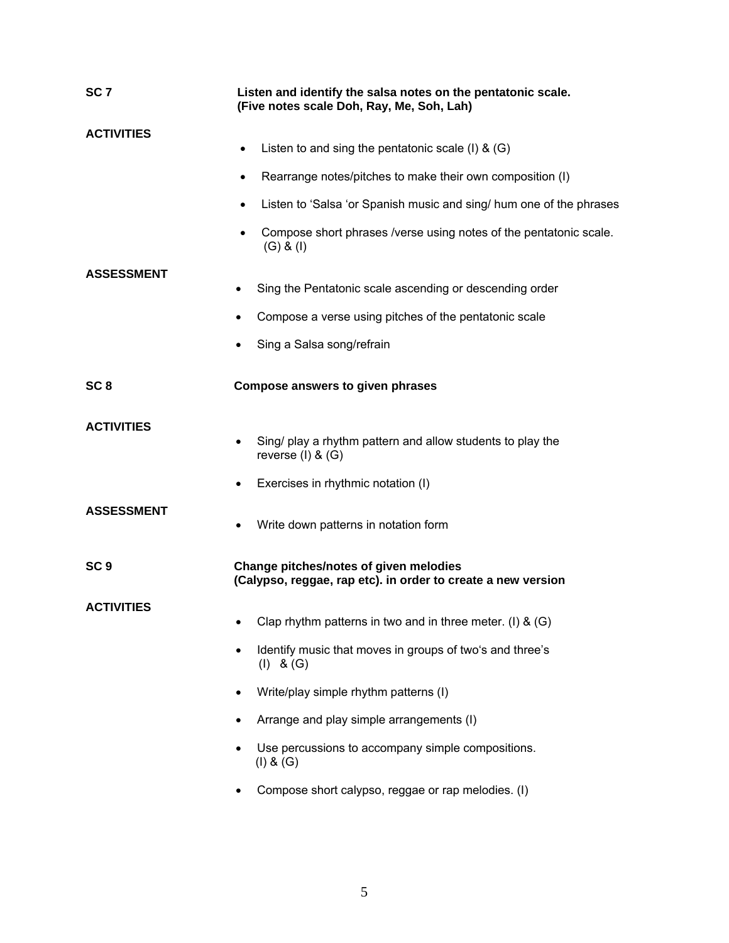| SC <sub>7</sub>   | Listen and identify the salsa notes on the pentatonic scale.<br>(Five notes scale Doh, Ray, Me, Soh, Lah) |  |
|-------------------|-----------------------------------------------------------------------------------------------------------|--|
| <b>ACTIVITIES</b> | Listen to and sing the pentatonic scale (I) $\&$ (G)<br>$\bullet$                                         |  |
|                   | Rearrange notes/pitches to make their own composition (I)<br>$\bullet$                                    |  |
|                   | Listen to 'Salsa 'or Spanish music and sing/ hum one of the phrases<br>$\bullet$                          |  |
|                   | Compose short phrases /verse using notes of the pentatonic scale.<br>$\bullet$<br>$(G)$ & $(I)$           |  |
| <b>ASSESSMENT</b> |                                                                                                           |  |
|                   | Sing the Pentatonic scale ascending or descending order<br>$\bullet$                                      |  |
|                   | Compose a verse using pitches of the pentatonic scale                                                     |  |
|                   | Sing a Salsa song/refrain                                                                                 |  |
| SC <sub>8</sub>   | <b>Compose answers to given phrases</b>                                                                   |  |
| <b>ACTIVITIES</b> | Sing/ play a rhythm pattern and allow students to play the<br>reverse $(I)$ & $(G)$                       |  |
|                   | Exercises in rhythmic notation (I)                                                                        |  |
| <b>ASSESSMENT</b> | Write down patterns in notation form                                                                      |  |
| SC <sub>9</sub>   | Change pitches/notes of given melodies<br>(Calypso, reggae, rap etc). in order to create a new version    |  |
| <b>ACTIVITIES</b> | Clap rhythm patterns in two and in three meter. (I) & (G)                                                 |  |
|                   | Identify music that moves in groups of two's and three's<br>$(I)$ & $(G)$                                 |  |
|                   | Write/play simple rhythm patterns (I)                                                                     |  |
|                   | Arrange and play simple arrangements (I)                                                                  |  |
|                   | Use percussions to accompany simple compositions.<br>(I) & (G)                                            |  |
|                   | Compose short calypso, reggae or rap melodies. (I)                                                        |  |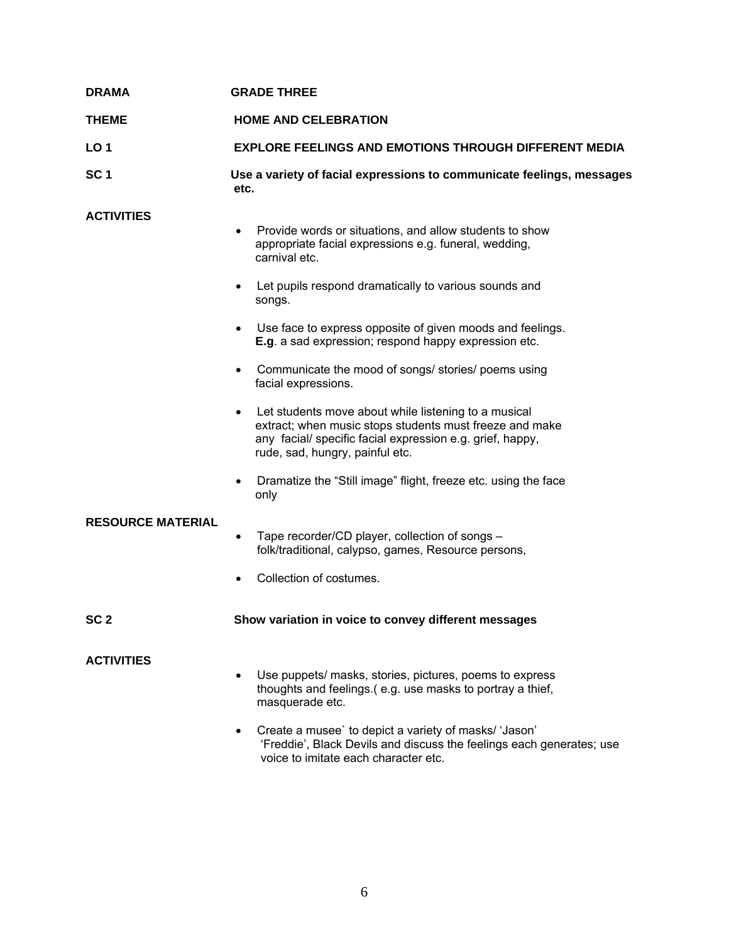| <b>DRAMA</b>             | <b>GRADE THREE</b>                                                                                                                                                                                              |  |
|--------------------------|-----------------------------------------------------------------------------------------------------------------------------------------------------------------------------------------------------------------|--|
| <b>THEME</b>             | <b>HOME AND CELEBRATION</b>                                                                                                                                                                                     |  |
| LO <sub>1</sub>          | <b>EXPLORE FEELINGS AND EMOTIONS THROUGH DIFFERENT MEDIA</b>                                                                                                                                                    |  |
| SC <sub>1</sub>          | Use a variety of facial expressions to communicate feelings, messages<br>etc.                                                                                                                                   |  |
| <b>ACTIVITIES</b>        | Provide words or situations, and allow students to show<br>appropriate facial expressions e.g. funeral, wedding,<br>carnival etc.                                                                               |  |
|                          | Let pupils respond dramatically to various sounds and<br>$\bullet$<br>songs.                                                                                                                                    |  |
|                          | Use face to express opposite of given moods and feelings.<br>E.g. a sad expression; respond happy expression etc.                                                                                               |  |
|                          | Communicate the mood of songs/ stories/ poems using<br>facial expressions.                                                                                                                                      |  |
|                          | Let students move about while listening to a musical<br>extract; when music stops students must freeze and make<br>any facial/ specific facial expression e.g. grief, happy,<br>rude, sad, hungry, painful etc. |  |
|                          | Dramatize the "Still image" flight, freeze etc. using the face<br>٠<br>only                                                                                                                                     |  |
| <b>RESOURCE MATERIAL</b> | Tape recorder/CD player, collection of songs -<br>$\bullet$<br>folk/traditional, calypso, games, Resource persons,                                                                                              |  |
|                          | Collection of costumes.                                                                                                                                                                                         |  |
| SC <sub>2</sub>          | Show variation in voice to convey different messages                                                                                                                                                            |  |
| <b>ACTIVITIES</b>        | Use puppets/ masks, stories, pictures, poems to express<br>thoughts and feelings.(e.g. use masks to portray a thief,<br>masquerade etc.                                                                         |  |
|                          | Create a musee' to depict a variety of masks/ 'Jason'<br>٠<br>'Freddie', Black Devils and discuss the feelings each generates; use<br>voice to imitate each character etc.                                      |  |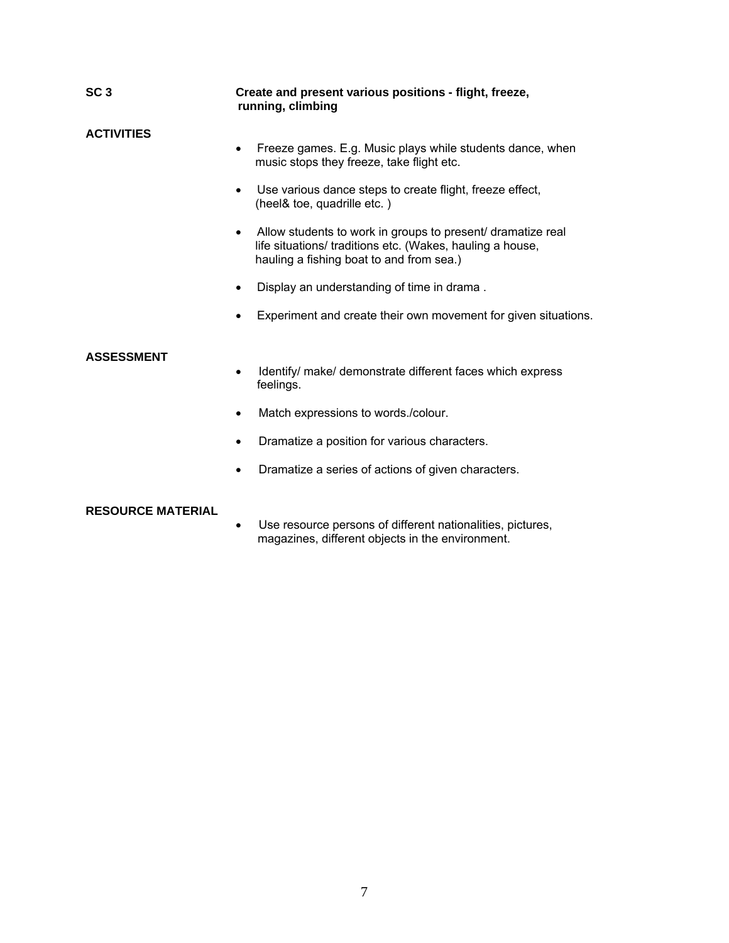| SC <sub>3</sub>   | Create and present various positions - flight, freeze,<br>running, climbing                                                                                                       |  |
|-------------------|-----------------------------------------------------------------------------------------------------------------------------------------------------------------------------------|--|
| <b>ACTIVITIES</b> | Freeze games. E.g. Music plays while students dance, when<br>music stops they freeze, take flight etc.                                                                            |  |
|                   | Use various dance steps to create flight, freeze effect,<br>(heel& toe, quadrille etc.)                                                                                           |  |
|                   | Allow students to work in groups to present/ dramatize real<br>$\bullet$<br>life situations/ traditions etc. (Wakes, hauling a house,<br>hauling a fishing boat to and from sea.) |  |
|                   | Display an understanding of time in drama.                                                                                                                                        |  |
|                   | Experiment and create their own movement for given situations.                                                                                                                    |  |
| <b>ASSESSMENT</b> | Identify/ make/ demonstrate different faces which express<br>feelings.                                                                                                            |  |
|                   |                                                                                                                                                                                   |  |
|                   | Match expressions to words./colour.<br>٠                                                                                                                                          |  |
|                   | Dramatize a position for various characters.<br>٠                                                                                                                                 |  |

• Dramatize a series of actions of given characters.

### **RESOURCE MATERIAL**

• Use resource persons of different nationalities, pictures, magazines, different objects in the environment.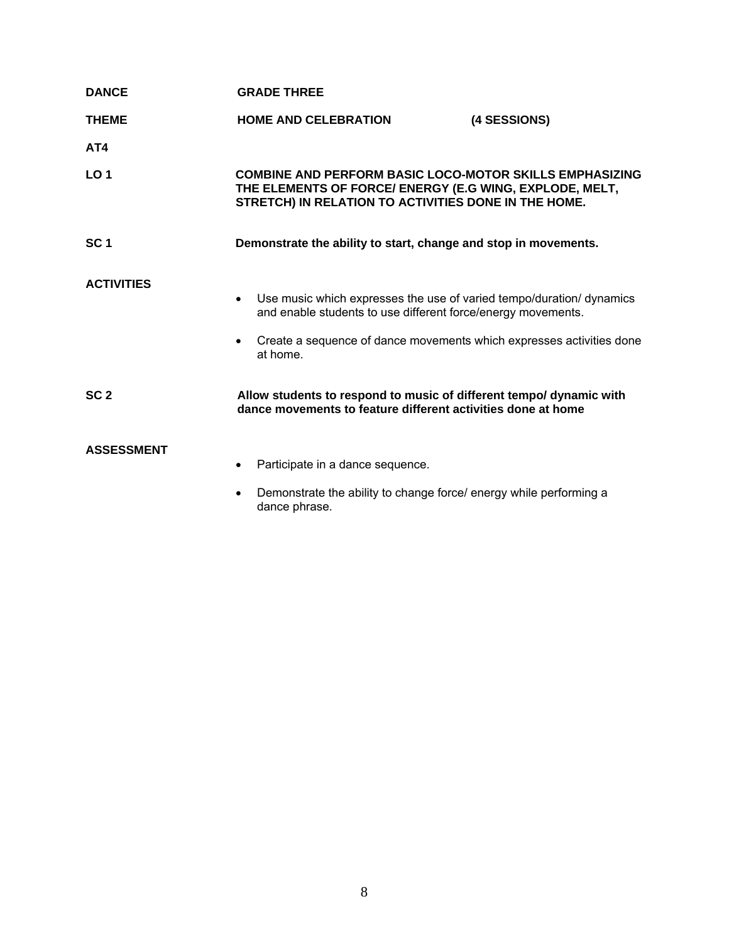| <b>DANCE</b>      | <b>GRADE THREE</b>                                                                                                                                                                                                                                 |
|-------------------|----------------------------------------------------------------------------------------------------------------------------------------------------------------------------------------------------------------------------------------------------|
| <b>THEME</b>      | <b>HOME AND CELEBRATION</b><br>(4 SESSIONS)                                                                                                                                                                                                        |
| AT4               |                                                                                                                                                                                                                                                    |
| LO <sub>1</sub>   | <b>COMBINE AND PERFORM BASIC LOCO-MOTOR SKILLS EMPHASIZING</b><br>THE ELEMENTS OF FORCE/ ENERGY (E.G WING, EXPLODE, MELT,<br>STRETCH) IN RELATION TO ACTIVITIES DONE IN THE HOME.                                                                  |
| SC <sub>1</sub>   | Demonstrate the ability to start, change and stop in movements.                                                                                                                                                                                    |
| <b>ACTIVITIES</b> | Use music which expresses the use of varied tempo/duration/ dynamics<br>$\bullet$<br>and enable students to use different force/energy movements.<br>Create a sequence of dance movements which expresses activities done<br>$\bullet$<br>at home. |
| SC <sub>2</sub>   | Allow students to respond to music of different tempo/ dynamic with<br>dance movements to feature different activities done at home                                                                                                                |
| <b>ASSESSMENT</b> | Participate in a dance sequence.<br>$\bullet$                                                                                                                                                                                                      |
|                   | Demonstrate the ability to change force/ energy while performing a<br>٠<br>dance phrase.                                                                                                                                                           |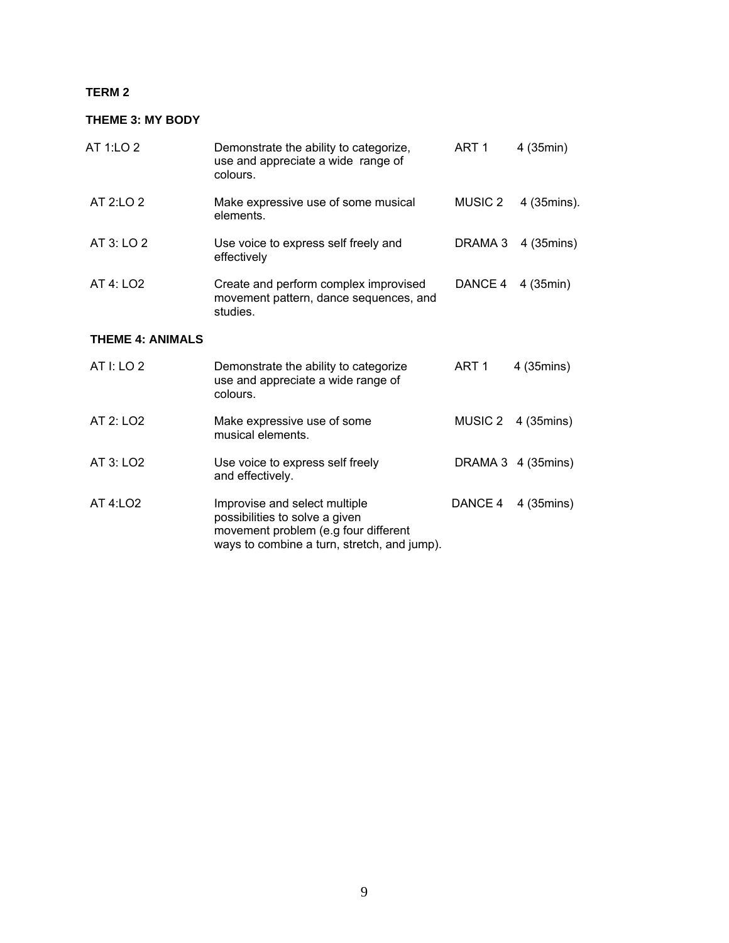#### **TERM 2**

### **THEME 3: MY BODY**

| AT 1:LO 2               | Demonstrate the ability to categorize,<br>use and appreciate a wide range of<br>colours.    | ART 1              | 4 (35min)          |
|-------------------------|---------------------------------------------------------------------------------------------|--------------------|--------------------|
| AT 2:LO 2               | Make expressive use of some musical<br>elements.                                            | MUSIC <sub>2</sub> | 4 (35mins).        |
| AT 3: LO 2              | Use voice to express self freely and<br>effectively                                         | DRAMA 3            | 4 (35mins)         |
| AT 4: LO2               | Create and perform complex improvised<br>movement pattern, dance sequences, and<br>studies. | DANCE 4            | 4 (35min)          |
| <b>THEME 4: ANIMALS</b> |                                                                                             |                    |                    |
| AT I: LO 2              | Demonstrate the ability to categorize<br>use and appreciate a wide range of<br>colours.     | ART <sub>1</sub>   | 4 (35mins)         |
| AT 2: LO <sub>2</sub>   | Make expressive use of some<br>musical elements.                                            | MUSIC 2            | 4 (35mins)         |
| AT 3: LO <sub>2</sub>   | Use voice to express self freely<br>and effectively.                                        |                    | DRAMA 3 4 (35mins) |

AT 4:LO2 **Improvise and select multiple CONCE 4** 4 (35mins) possibilities to solve a given movement problem (e.g four different ways to combine a turn, stretch, and jump).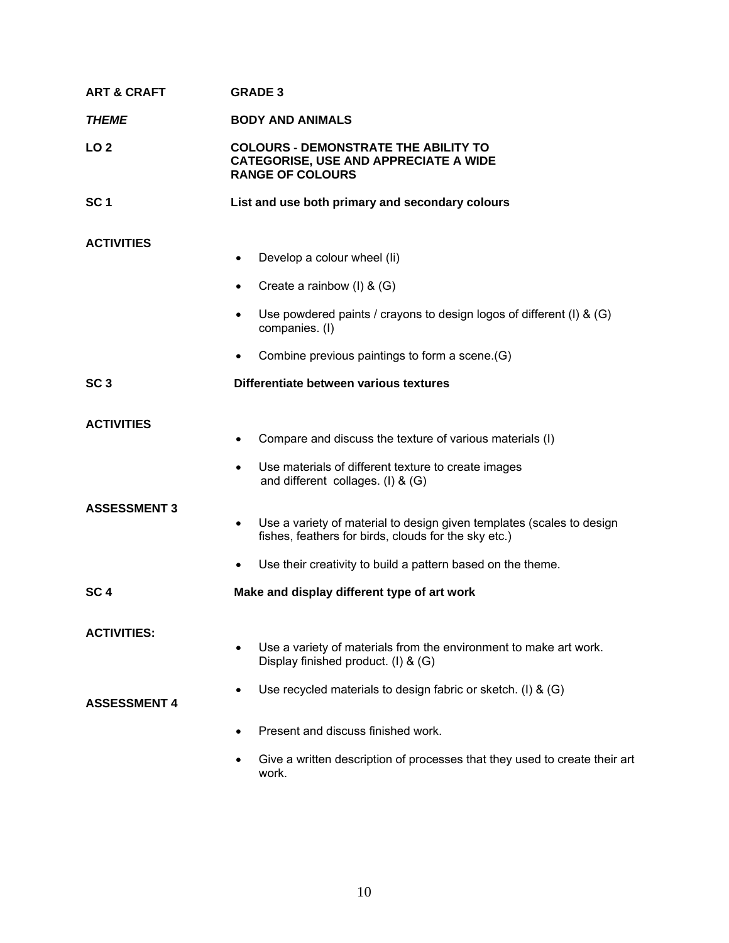| <b>ART &amp; CRAFT</b> | <b>GRADE 3</b>                                                                                                                             |
|------------------------|--------------------------------------------------------------------------------------------------------------------------------------------|
| <b>THEME</b>           | <b>BODY AND ANIMALS</b>                                                                                                                    |
| LO <sub>2</sub>        | <b>COLOURS - DEMONSTRATE THE ABILITY TO</b><br><b>CATEGORISE, USE AND APPRECIATE A WIDE</b><br><b>RANGE OF COLOURS</b>                     |
| SC <sub>1</sub>        | List and use both primary and secondary colours                                                                                            |
| <b>ACTIVITIES</b>      | Develop a colour wheel (li)                                                                                                                |
|                        | Create a rainbow $(I)$ & $(G)$                                                                                                             |
|                        | Use powdered paints / crayons to design logos of different (I) & (G)<br>$\bullet$<br>companies. (I)                                        |
|                        | Combine previous paintings to form a scene.(G)                                                                                             |
| SC <sub>3</sub>        | Differentiate between various textures                                                                                                     |
| <b>ACTIVITIES</b>      | Compare and discuss the texture of various materials (I)                                                                                   |
|                        | Use materials of different texture to create images<br>and different collages. $(I)$ & $(G)$                                               |
| <b>ASSESSMENT 3</b>    | Use a variety of material to design given templates (scales to design<br>$\bullet$<br>fishes, feathers for birds, clouds for the sky etc.) |
|                        | Use their creativity to build a pattern based on the theme.                                                                                |
| SC <sub>4</sub>        | Make and display different type of art work                                                                                                |
| <b>ACTIVITIES:</b>     |                                                                                                                                            |
|                        | Use a variety of materials from the environment to make art work.<br>Display finished product. (I) & (G)                                   |
| <b>ASSESSMENT 4</b>    | Use recycled materials to design fabric or sketch. (I) & (G)                                                                               |
|                        | Present and discuss finished work.                                                                                                         |
|                        | Give a written description of processes that they used to create their art<br>work.                                                        |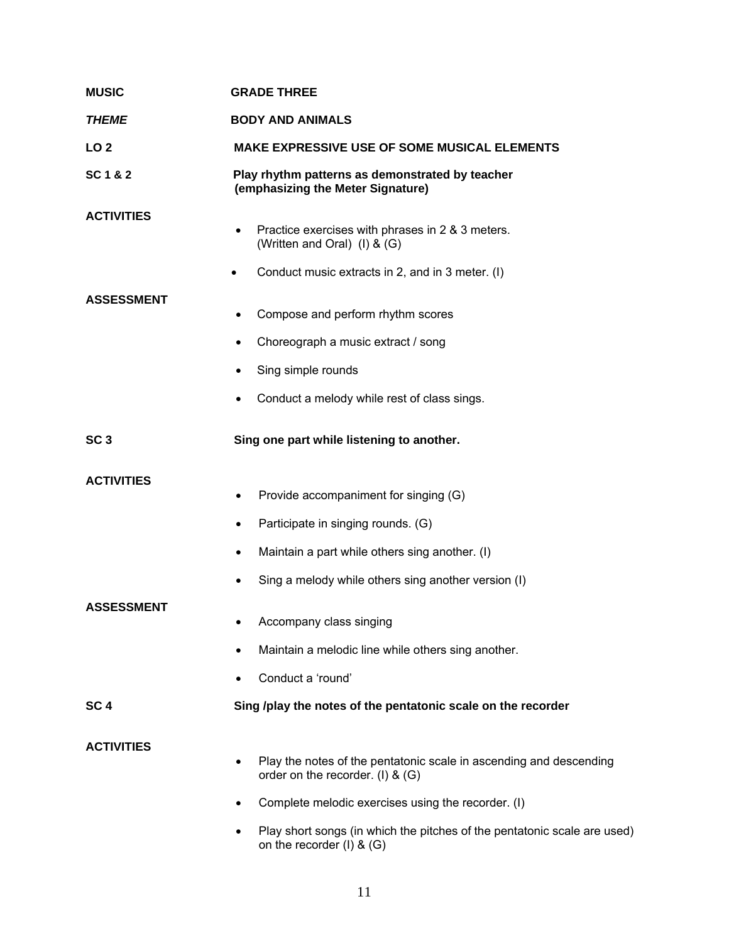| <b>MUSIC</b>      | <b>GRADE THREE</b>                                                                                                                        |  |
|-------------------|-------------------------------------------------------------------------------------------------------------------------------------------|--|
| <b>THEME</b>      | <b>BODY AND ANIMALS</b>                                                                                                                   |  |
| LO <sub>2</sub>   | <b>MAKE EXPRESSIVE USE OF SOME MUSICAL ELEMENTS</b>                                                                                       |  |
| SC 1 & 2          | Play rhythm patterns as demonstrated by teacher<br>(emphasizing the Meter Signature)                                                      |  |
| <b>ACTIVITIES</b> | Practice exercises with phrases in 2 & 3 meters.<br>(Written and Oral) (I) & (G)<br>Conduct music extracts in 2, and in 3 meter. (I)<br>٠ |  |
| <b>ASSESSMENT</b> |                                                                                                                                           |  |
|                   | Compose and perform rhythm scores                                                                                                         |  |
|                   | Choreograph a music extract / song<br>٠                                                                                                   |  |
|                   | Sing simple rounds                                                                                                                        |  |
|                   | Conduct a melody while rest of class sings.                                                                                               |  |
| SC <sub>3</sub>   | Sing one part while listening to another.                                                                                                 |  |
| <b>ACTIVITIES</b> | Provide accompaniment for singing (G)                                                                                                     |  |
|                   | ٠                                                                                                                                         |  |
|                   | Participate in singing rounds. (G)<br>٠                                                                                                   |  |
|                   | Maintain a part while others sing another. (I)<br>٠                                                                                       |  |
|                   | Sing a melody while others sing another version (I)                                                                                       |  |
| <b>ASSESSMENT</b> | Accompany class singing                                                                                                                   |  |
|                   | Maintain a melodic line while others sing another.                                                                                        |  |
|                   | Conduct a 'round'                                                                                                                         |  |
| SC <sub>4</sub>   | Sing /play the notes of the pentatonic scale on the recorder                                                                              |  |
| <b>ACTIVITIES</b> | Play the notes of the pentatonic scale in ascending and descending<br>$\bullet$<br>order on the recorder. (I) & (G)                       |  |
|                   | Complete melodic exercises using the recorder. (I)<br>٠                                                                                   |  |
|                   | Play short songs (in which the pitches of the pentatonic scale are used)<br>٠<br>on the recorder $(I)$ & $(G)$                            |  |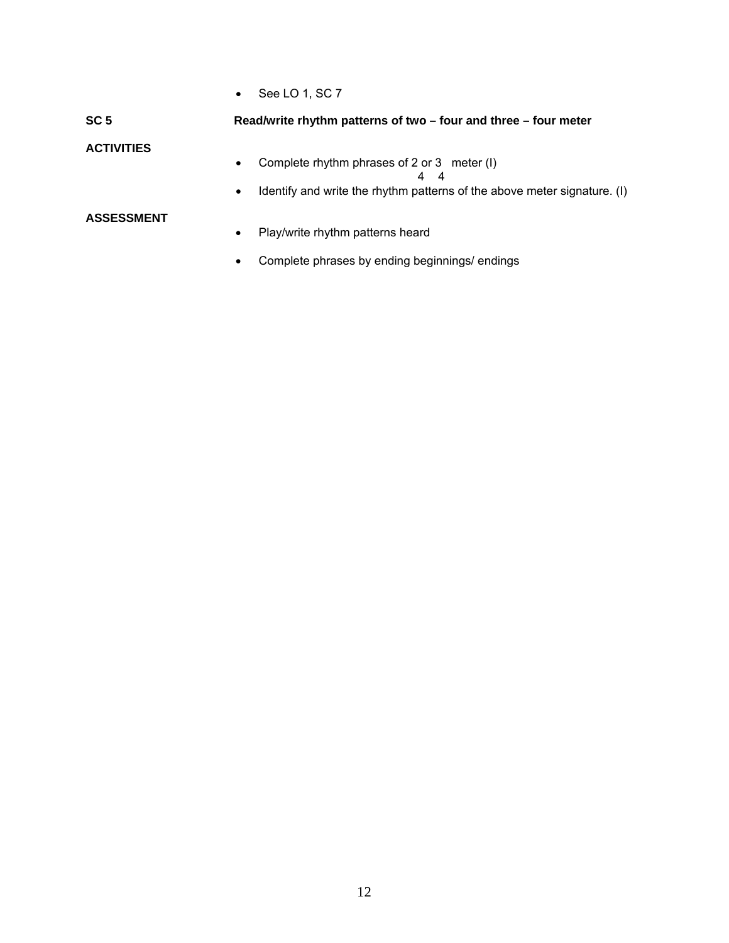• See LO 1, SC 7

# **SC 5 Read/write rhythm patterns of two – four and three – four meter ACTIVITIES** • Complete rhythm phrases of 2 or 3 meter (I) 4 4 • Identify and write the rhythm patterns of the above meter signature. (I) **ASSESSMENT** • Play/write rhythm patterns heard

• Complete phrases by ending beginnings/ endings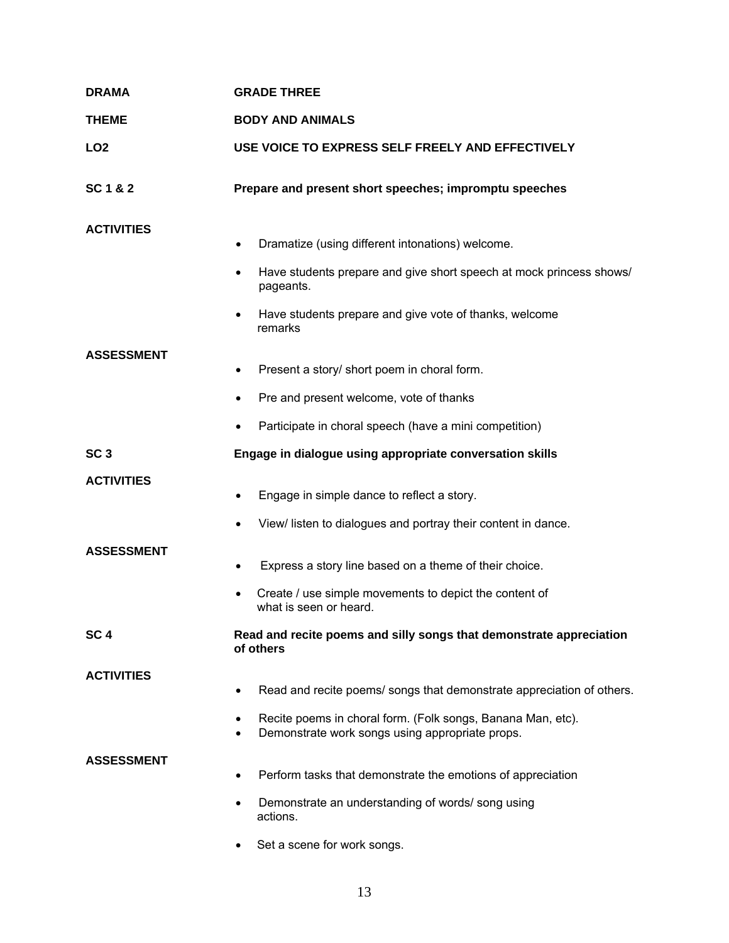| <b>DRAMA</b>      | <b>GRADE THREE</b>                                                                                                  |  |
|-------------------|---------------------------------------------------------------------------------------------------------------------|--|
| <b>THEME</b>      | <b>BODY AND ANIMALS</b>                                                                                             |  |
| LO <sub>2</sub>   | USE VOICE TO EXPRESS SELF FREELY AND EFFECTIVELY                                                                    |  |
| SC 1 & 2          | Prepare and present short speeches; impromptu speeches                                                              |  |
| <b>ACTIVITIES</b> | Dramatize (using different intonations) welcome.<br>$\bullet$                                                       |  |
|                   | Have students prepare and give short speech at mock princess shows/<br>٠<br>pageants.                               |  |
|                   | Have students prepare and give vote of thanks, welcome<br>remarks                                                   |  |
| <b>ASSESSMENT</b> | Present a story/ short poem in choral form.                                                                         |  |
|                   | Pre and present welcome, vote of thanks                                                                             |  |
|                   | Participate in choral speech (have a mini competition)                                                              |  |
| SC <sub>3</sub>   | Engage in dialogue using appropriate conversation skills                                                            |  |
| <b>ACTIVITIES</b> | Engage in simple dance to reflect a story.<br>٠                                                                     |  |
|                   | View/ listen to dialogues and portray their content in dance.<br>٠                                                  |  |
| <b>ASSESSMENT</b> | Express a story line based on a theme of their choice.                                                              |  |
|                   | Create / use simple movements to depict the content of<br>what is seen or heard.                                    |  |
| SC <sub>4</sub>   | Read and recite poems and silly songs that demonstrate appreciation<br>of others                                    |  |
| <b>ACTIVITIES</b> |                                                                                                                     |  |
|                   | Read and recite poems/ songs that demonstrate appreciation of others.                                               |  |
|                   | Recite poems in choral form. (Folk songs, Banana Man, etc).<br>٠<br>Demonstrate work songs using appropriate props. |  |
| <b>ASSESSMENT</b> | Perform tasks that demonstrate the emotions of appreciation                                                         |  |
|                   | Demonstrate an understanding of words/song using<br>actions.                                                        |  |
|                   | Set a scene for work songs.<br>$\bullet$                                                                            |  |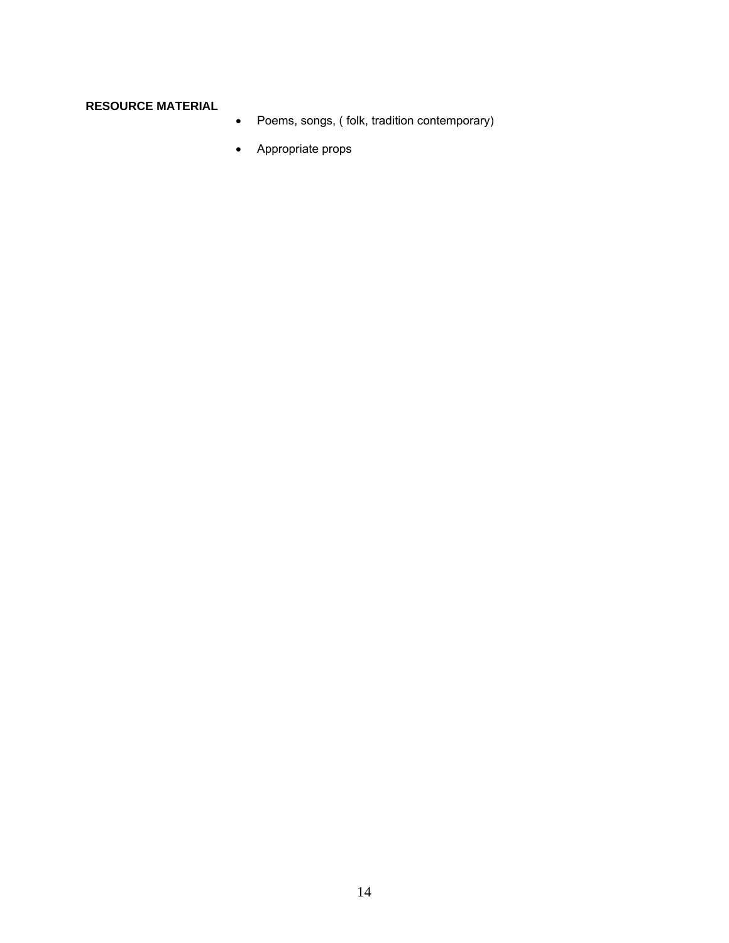## **RESOURCE MATERIAL**

- Poems, songs, ( folk, tradition contemporary)
- Appropriate props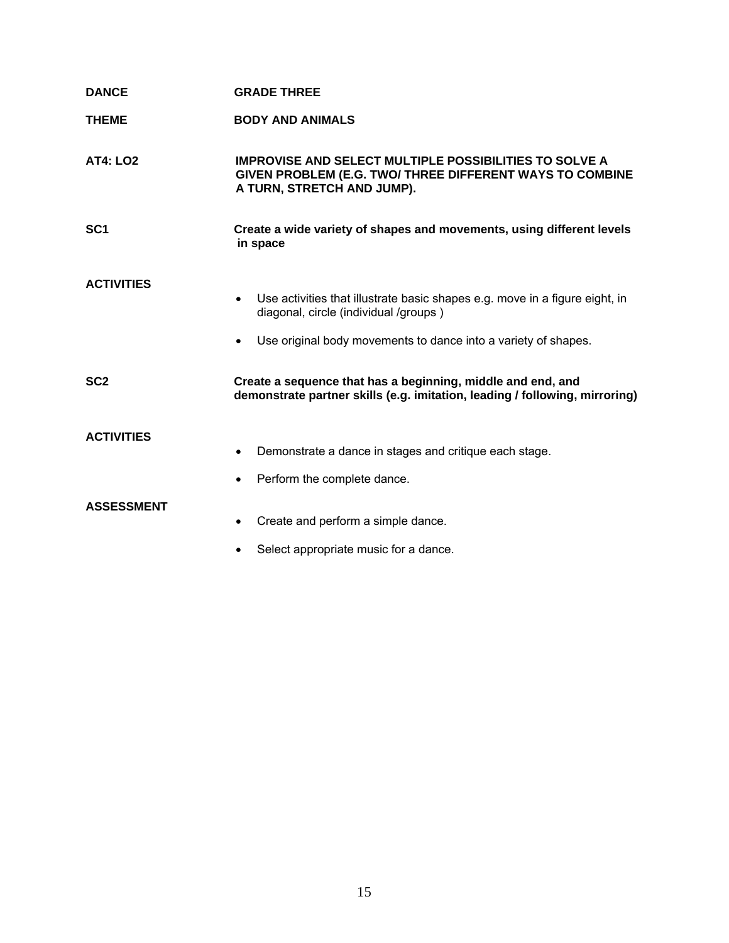| <b>DANCE</b>      | <b>GRADE THREE</b>                                                                                                                                                                                               |
|-------------------|------------------------------------------------------------------------------------------------------------------------------------------------------------------------------------------------------------------|
| <b>THEME</b>      | <b>BODY AND ANIMALS</b>                                                                                                                                                                                          |
| <b>AT4: LO2</b>   | <b>IMPROVISE AND SELECT MULTIPLE POSSIBILITIES TO SOLVE A</b><br>GIVEN PROBLEM (E.G. TWO/ THREE DIFFERENT WAYS TO COMBINE<br>A TURN, STRETCH AND JUMP).                                                          |
| SC <sub>1</sub>   | Create a wide variety of shapes and movements, using different levels<br>in space                                                                                                                                |
| <b>ACTIVITIES</b> | Use activities that illustrate basic shapes e.g. move in a figure eight, in<br>$\bullet$<br>diagonal, circle (individual /groups)<br>Use original body movements to dance into a variety of shapes.<br>$\bullet$ |
| SC <sub>2</sub>   | Create a sequence that has a beginning, middle and end, and<br>demonstrate partner skills (e.g. imitation, leading / following, mirroring)                                                                       |
| <b>ACTIVITIES</b> | Demonstrate a dance in stages and critique each stage.<br>$\bullet$<br>Perform the complete dance.                                                                                                               |
| <b>ASSESSMENT</b> | Create and perform a simple dance.<br>$\bullet$<br>Select appropriate music for a dance.                                                                                                                         |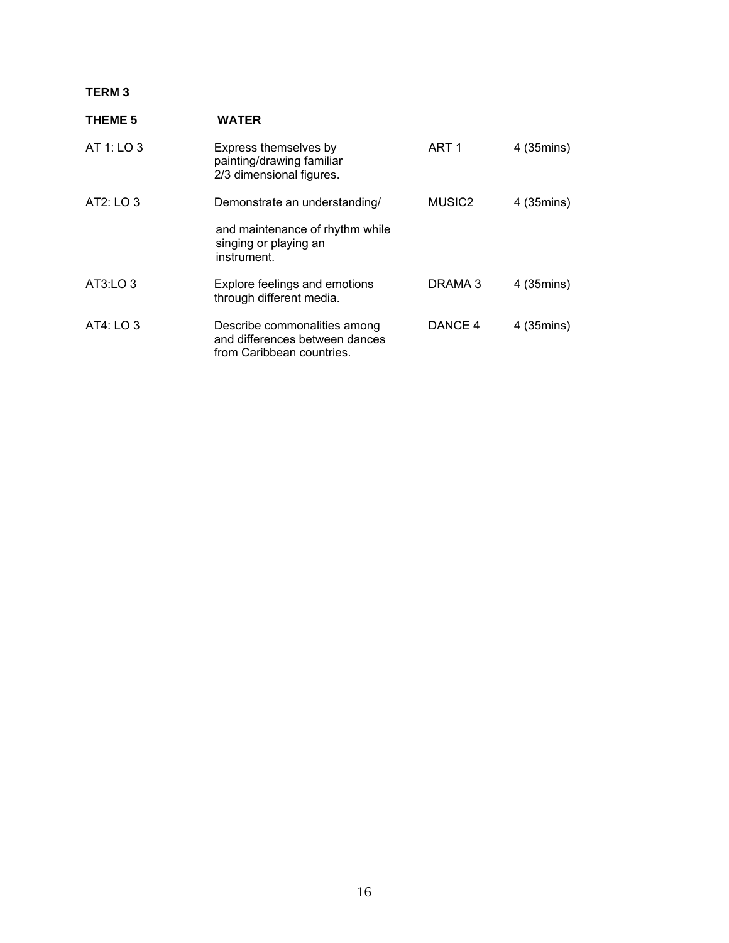### **TERM 3**

| <b>THEME 5</b> | <b>WATER</b>                                                                                |                    |            |
|----------------|---------------------------------------------------------------------------------------------|--------------------|------------|
| AT 1: LO $3$   | Express themselves by<br>painting/drawing familiar<br>2/3 dimensional figures.              | ART <sub>1</sub>   | 4 (35mins) |
| AT2: LO 3      | Demonstrate an understanding/                                                               | MUSIC <sub>2</sub> | 4 (35mins) |
|                | and maintenance of rhythm while<br>singing or playing an<br>instrument.                     |                    |            |
| AT3:LO 3       | Explore feelings and emotions<br>through different media.                                   | DRAMA 3            | 4 (35mins) |
| AT4: LO 3      | Describe commonalities among<br>and differences between dances<br>from Caribbean countries. | DANCE 4            | 4 (35mins) |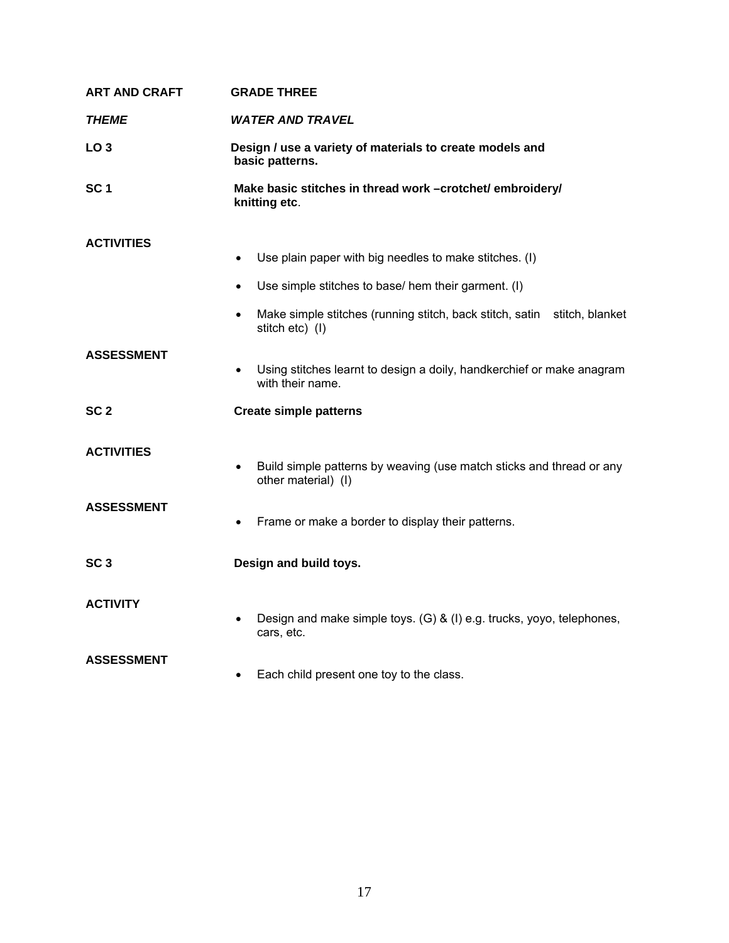| <b>ART AND CRAFT</b> | <b>GRADE THREE</b>                                                                                       |  |
|----------------------|----------------------------------------------------------------------------------------------------------|--|
| <b>THEME</b>         | <b>WATER AND TRAVEL</b>                                                                                  |  |
| LO <sub>3</sub>      | Design / use a variety of materials to create models and<br>basic patterns.                              |  |
| SC <sub>1</sub>      | Make basic stitches in thread work -crotchet/ embroidery/<br>knitting etc.                               |  |
| <b>ACTIVITIES</b>    |                                                                                                          |  |
|                      | Use plain paper with big needles to make stitches. (I)<br>٠                                              |  |
|                      | Use simple stitches to base/ hem their garment. (I)                                                      |  |
|                      | Make simple stitches (running stitch, back stitch, satin stitch, blanket<br>$\bullet$<br>stitch etc) (I) |  |
| <b>ASSESSMENT</b>    | Using stitches learnt to design a doily, handkerchief or make anagram<br>$\bullet$<br>with their name.   |  |
| SC <sub>2</sub>      | <b>Create simple patterns</b>                                                                            |  |
| <b>ACTIVITIES</b>    | Build simple patterns by weaving (use match sticks and thread or any<br>$\bullet$<br>other material) (I) |  |
| <b>ASSESSMENT</b>    | Frame or make a border to display their patterns.                                                        |  |
| SC <sub>3</sub>      | Design and build toys.                                                                                   |  |
| <b>ACTIVITY</b>      | Design and make simple toys. (G) & (I) e.g. trucks, yoyo, telephones,<br>cars, etc.                      |  |
| <b>ASSESSMENT</b>    | Each child present one toy to the class.                                                                 |  |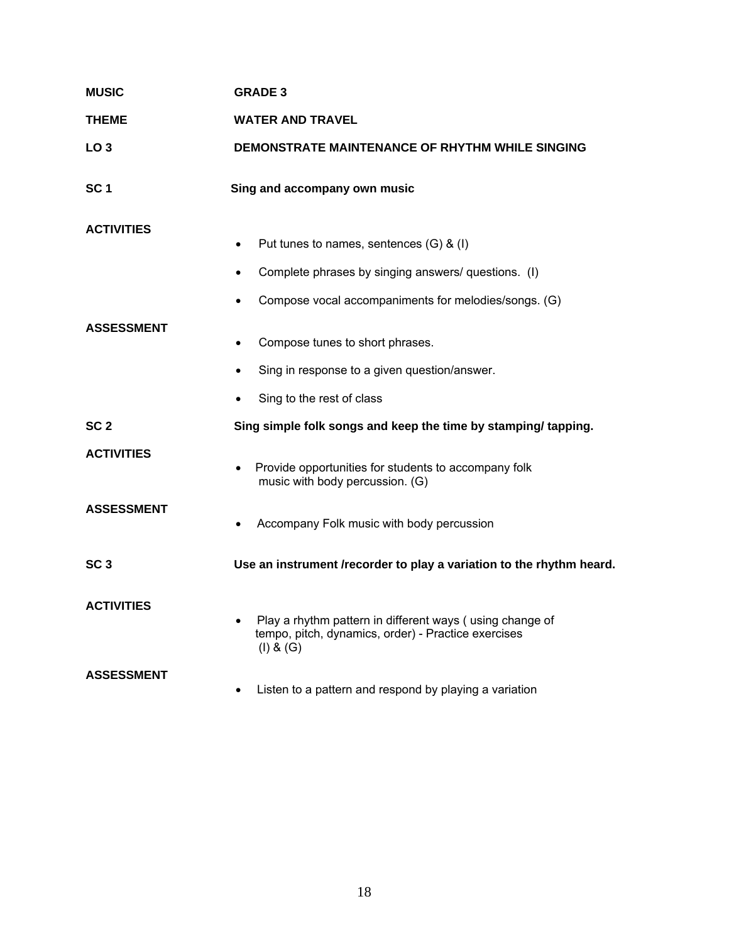| <b>MUSIC</b>      | <b>GRADE 3</b>                                                                                                               |  |
|-------------------|------------------------------------------------------------------------------------------------------------------------------|--|
| THEME             | WATER AND TRAVEL                                                                                                             |  |
| LO <sub>3</sub>   | DEMONSTRATE MAINTENANCE OF RHYTHM WHILE SINGING                                                                              |  |
| SC <sub>1</sub>   | Sing and accompany own music                                                                                                 |  |
| <b>ACTIVITIES</b> | Put tunes to names, sentences (G) & (I)<br>$\bullet$                                                                         |  |
|                   | Complete phrases by singing answers/ questions. (I)<br>$\bullet$                                                             |  |
|                   | Compose vocal accompaniments for melodies/songs. (G)                                                                         |  |
| <b>ASSESSMENT</b> | Compose tunes to short phrases.<br>$\bullet$                                                                                 |  |
|                   | Sing in response to a given question/answer.<br>$\bullet$                                                                    |  |
|                   | Sing to the rest of class                                                                                                    |  |
| SC <sub>2</sub>   | Sing simple folk songs and keep the time by stamping/tapping.                                                                |  |
| <b>ACTIVITIES</b> | Provide opportunities for students to accompany folk<br>$\bullet$<br>music with body percussion. (G)                         |  |
| <b>ASSESSMENT</b> | Accompany Folk music with body percussion                                                                                    |  |
| SC <sub>3</sub>   | Use an instrument /recorder to play a variation to the rhythm heard.                                                         |  |
| <b>ACTIVITIES</b> | Play a rhythm pattern in different ways (using change of<br>tempo, pitch, dynamics, order) - Practice exercises<br>(I) 8 (G) |  |
| <b>ASSESSMENT</b> | Listen to a pattern and respond by playing a variation<br>$\bullet$                                                          |  |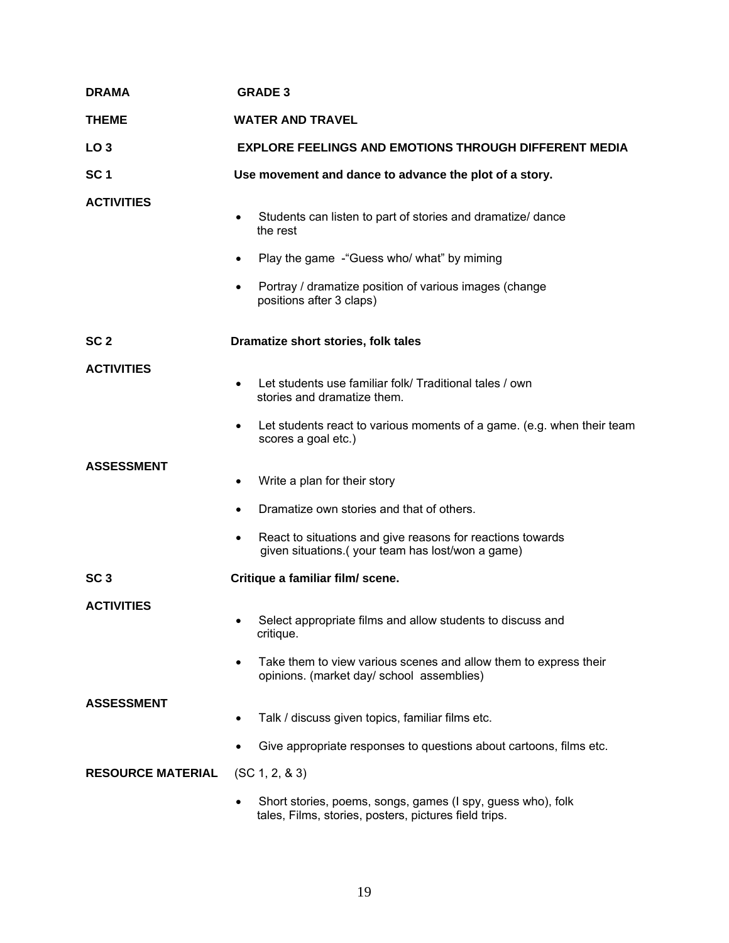| <b>DRAMA</b>             | <b>GRADE 3</b>                                                                                                                      |  |
|--------------------------|-------------------------------------------------------------------------------------------------------------------------------------|--|
| <b>THEME</b>             | <b>WATER AND TRAVEL</b>                                                                                                             |  |
| LO <sub>3</sub>          | <b>EXPLORE FEELINGS AND EMOTIONS THROUGH DIFFERENT MEDIA</b>                                                                        |  |
| SC <sub>1</sub>          | Use movement and dance to advance the plot of a story.                                                                              |  |
| <b>ACTIVITIES</b>        | Students can listen to part of stories and dramatize/ dance<br>the rest<br>Play the game - "Guess who/ what" by miming<br>$\bullet$ |  |
|                          | Portray / dramatize position of various images (change<br>٠<br>positions after 3 claps)                                             |  |
| SC <sub>2</sub>          | Dramatize short stories, folk tales                                                                                                 |  |
| <b>ACTIVITIES</b>        | Let students use familiar folk/ Traditional tales / own<br>stories and dramatize them.                                              |  |
|                          | Let students react to various moments of a game. (e.g. when their team<br>scores a goal etc.)                                       |  |
| <b>ASSESSMENT</b>        | Write a plan for their story<br>$\bullet$                                                                                           |  |
|                          | Dramatize own stories and that of others.<br>$\bullet$                                                                              |  |
|                          | React to situations and give reasons for reactions towards<br>$\bullet$<br>given situations.(your team has lost/won a game)         |  |
| SC <sub>3</sub>          | Critique a familiar film/ scene.                                                                                                    |  |
| <b>ACTIVITIES</b>        | Select appropriate films and allow students to discuss and<br>critique.                                                             |  |
|                          | Take them to view various scenes and allow them to express their<br>$\bullet$<br>opinions. (market day/ school assemblies)          |  |
| <b>ASSESSMENT</b>        | Talk / discuss given topics, familiar films etc.                                                                                    |  |
|                          | Give appropriate responses to questions about cartoons, films etc.                                                                  |  |
| <b>RESOURCE MATERIAL</b> | (SC 1, 2, 8, 3)                                                                                                                     |  |
|                          | Short stories, poems, songs, games (I spy, guess who), folk<br>tales, Films, stories, posters, pictures field trips.                |  |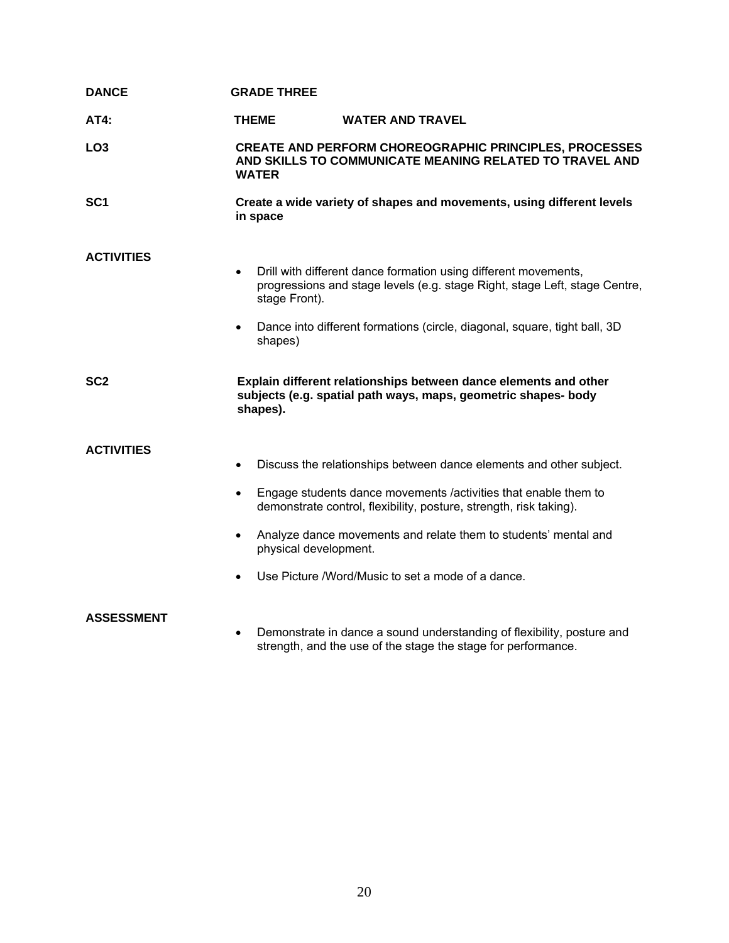| <b>DANCE</b>      | <b>GRADE THREE</b>                                                        |                                                                                                                                                                                                                                                                                                                                      |
|-------------------|---------------------------------------------------------------------------|--------------------------------------------------------------------------------------------------------------------------------------------------------------------------------------------------------------------------------------------------------------------------------------------------------------------------------------|
| AT4:              | <b>THEME</b>                                                              | <b>WATER AND TRAVEL</b>                                                                                                                                                                                                                                                                                                              |
| LO <sub>3</sub>   | <b>WATER</b>                                                              | <b>CREATE AND PERFORM CHOREOGRAPHIC PRINCIPLES, PROCESSES</b><br>AND SKILLS TO COMMUNICATE MEANING RELATED TO TRAVEL AND                                                                                                                                                                                                             |
| SC <sub>1</sub>   | in space                                                                  | Create a wide variety of shapes and movements, using different levels                                                                                                                                                                                                                                                                |
| <b>ACTIVITIES</b> | $\bullet$<br>stage Front).<br>$\bullet$<br>shapes)                        | Drill with different dance formation using different movements,<br>progressions and stage levels (e.g. stage Right, stage Left, stage Centre,<br>Dance into different formations (circle, diagonal, square, tight ball, 3D                                                                                                           |
| SC <sub>2</sub>   | shapes).                                                                  | Explain different relationships between dance elements and other<br>subjects (e.g. spatial path ways, maps, geometric shapes- body                                                                                                                                                                                                   |
| <b>ACTIVITIES</b> | $\bullet$<br>$\bullet$<br>$\bullet$<br>physical development.<br>$\bullet$ | Discuss the relationships between dance elements and other subject.<br>Engage students dance movements /activities that enable them to<br>demonstrate control, flexibility, posture, strength, risk taking).<br>Analyze dance movements and relate them to students' mental and<br>Use Picture /Word/Music to set a mode of a dance. |
| <b>ASSESSMENT</b> | $\bullet$                                                                 | Demonstrate in dance a sound understanding of flexibility, posture and<br>strength, and the use of the stage the stage for performance.                                                                                                                                                                                              |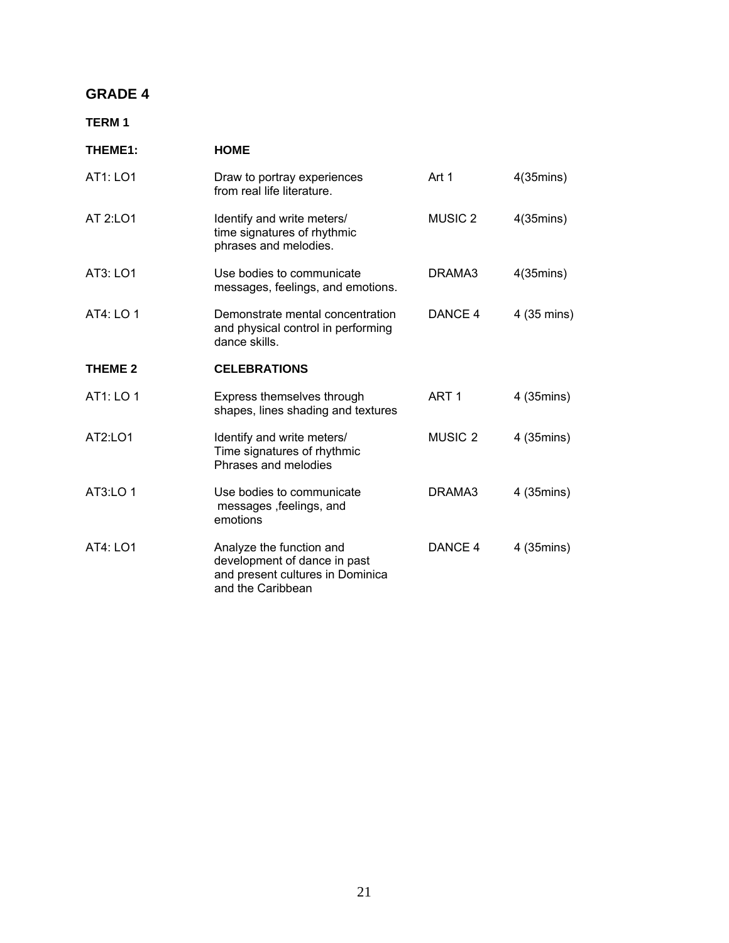## **GRADE 4**

### **TERM 1**

| THEME1:        | <b>HOME</b>                                                                                                       |                    |                     |
|----------------|-------------------------------------------------------------------------------------------------------------------|--------------------|---------------------|
| AT1: LO1       | Draw to portray experiences<br>from real life literature.                                                         | Art 1              | $4(35 \text{mins})$ |
| AT 2:LO1       | Identify and write meters/<br>time signatures of rhythmic<br>phrases and melodies.                                | MUSIC <sub>2</sub> | $4(35 \text{mins})$ |
| AT3: LO1       | Use bodies to communicate<br>messages, feelings, and emotions.                                                    | DRAMA3             | $4(35 \text{mins})$ |
| AT4: LO 1      | Demonstrate mental concentration<br>and physical control in performing<br>dance skills.                           | DANCE 4            | 4 (35 mins)         |
| <b>THEME 2</b> | <b>CELEBRATIONS</b>                                                                                               |                    |                     |
| AT1: LO 1      | Express themselves through<br>shapes, lines shading and textures                                                  | ART <sub>1</sub>   | 4 (35mins)          |
| AT2:LO1        | Identify and write meters/<br>Time signatures of rhythmic<br>Phrases and melodies                                 | <b>MUSIC 2</b>     | 4 (35mins)          |
| AT3:LO 1       | Use bodies to communicate<br>messages, feelings, and<br>emotions                                                  | DRAMA3             | 4 (35mins)          |
| AT4: LO1       | Analyze the function and<br>development of dance in past<br>and present cultures in Dominica<br>and the Caribbean | DANCE 4            | 4 (35mins)          |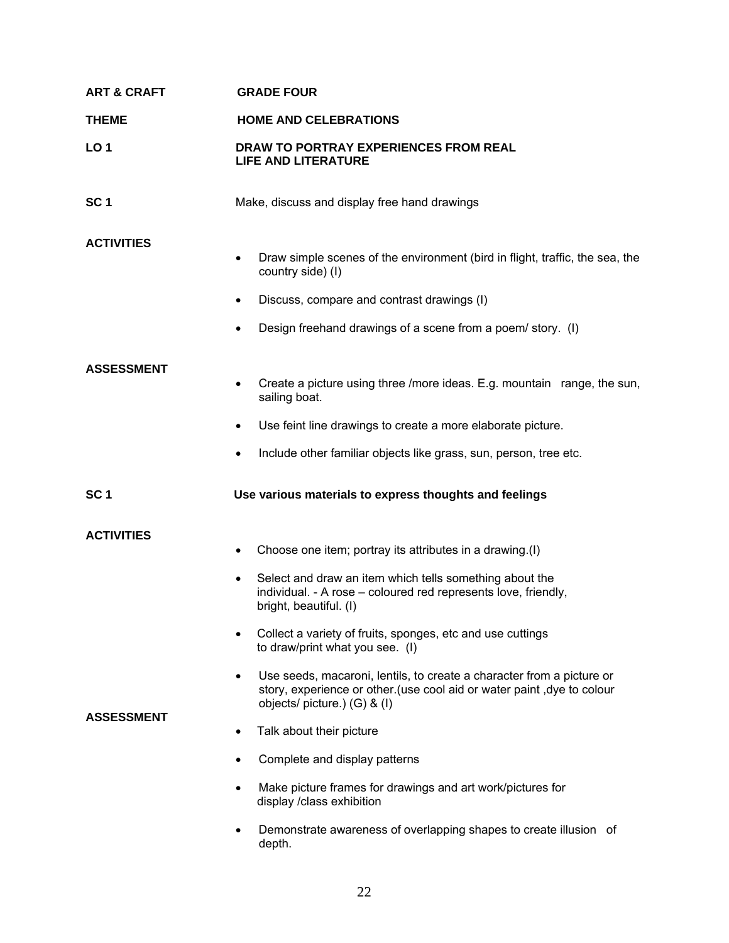| <b>ART &amp; CRAFT</b>                 | <b>GRADE FOUR</b>                                                                                                                                                                                                                                                                                                                                                                                                                                                                                                                                                                                                                                                                                                                         |  |
|----------------------------------------|-------------------------------------------------------------------------------------------------------------------------------------------------------------------------------------------------------------------------------------------------------------------------------------------------------------------------------------------------------------------------------------------------------------------------------------------------------------------------------------------------------------------------------------------------------------------------------------------------------------------------------------------------------------------------------------------------------------------------------------------|--|
| <b>THEME</b>                           | <b>HOME AND CELEBRATIONS</b>                                                                                                                                                                                                                                                                                                                                                                                                                                                                                                                                                                                                                                                                                                              |  |
| <b>LO1</b>                             | DRAW TO PORTRAY EXPERIENCES FROM REAL<br><b>LIFE AND LITERATURE</b>                                                                                                                                                                                                                                                                                                                                                                                                                                                                                                                                                                                                                                                                       |  |
| SC <sub>1</sub>                        | Make, discuss and display free hand drawings                                                                                                                                                                                                                                                                                                                                                                                                                                                                                                                                                                                                                                                                                              |  |
| <b>ACTIVITIES</b>                      | Draw simple scenes of the environment (bird in flight, traffic, the sea, the<br>$\bullet$<br>country side) (I)<br>Discuss, compare and contrast drawings (I)<br>$\bullet$<br>Design freehand drawings of a scene from a poem/ story. (I)<br>$\bullet$                                                                                                                                                                                                                                                                                                                                                                                                                                                                                     |  |
| <b>ASSESSMENT</b>                      | Create a picture using three /more ideas. E.g. mountain range, the sun,<br>$\bullet$<br>sailing boat.<br>Use feint line drawings to create a more elaborate picture.<br>Include other familiar objects like grass, sun, person, tree etc.<br>$\bullet$                                                                                                                                                                                                                                                                                                                                                                                                                                                                                    |  |
| SC <sub>1</sub>                        | Use various materials to express thoughts and feelings                                                                                                                                                                                                                                                                                                                                                                                                                                                                                                                                                                                                                                                                                    |  |
| <b>ACTIVITIES</b><br><b>ASSESSMENT</b> | Choose one item; portray its attributes in a drawing.(I)<br>$\bullet$<br>Select and draw an item which tells something about the<br>$\bullet$<br>individual. - A rose - coloured red represents love, friendly,<br>bright, beautiful. (I)<br>Collect a variety of fruits, sponges, etc and use cuttings<br>$\bullet$<br>to draw/print what you see. (I)<br>Use seeds, macaroni, lentils, to create a character from a picture or<br>$\bullet$<br>story, experience or other.(use cool aid or water paint, dye to colour<br>objects/ picture.) (G) & (I)<br>Talk about their picture<br>$\bullet$<br>Complete and display patterns<br>Make picture frames for drawings and art work/pictures for<br>$\bullet$<br>display /class exhibition |  |
|                                        | Demonstrate awareness of overlapping shapes to create illusion of<br>depth.                                                                                                                                                                                                                                                                                                                                                                                                                                                                                                                                                                                                                                                               |  |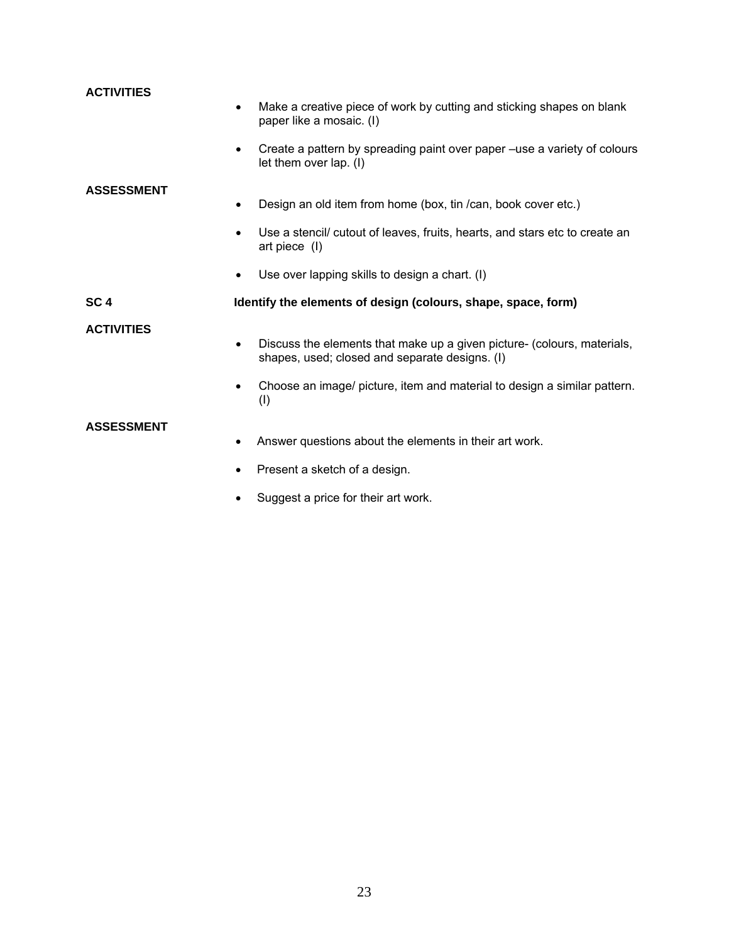| <b>ACTIVITIES</b> |                                                                                                                           |
|-------------------|---------------------------------------------------------------------------------------------------------------------------|
|                   | Make a creative piece of work by cutting and sticking shapes on blank<br>paper like a mosaic. (I)                         |
|                   | Create a pattern by spreading paint over paper -use a variety of colours<br>let them over lap. (I)                        |
| <b>ASSESSMENT</b> |                                                                                                                           |
|                   | Design an old item from home (box, tin /can, book cover etc.)                                                             |
|                   | Use a stencil/ cutout of leaves, fruits, hearts, and stars etc to create an<br>art piece (I)                              |
|                   | Use over lapping skills to design a chart. (I)                                                                            |
| SC <sub>4</sub>   | Identify the elements of design (colours, shape, space, form)                                                             |
| <b>ACTIVITIES</b> |                                                                                                                           |
|                   | Discuss the elements that make up a given picture- (colours, materials,<br>shapes, used; closed and separate designs. (I) |
|                   | Choose an image/ picture, item and material to design a similar pattern.<br>$\bullet$<br>(1)                              |
| <b>ASSESSMENT</b> |                                                                                                                           |
|                   | Answer questions about the elements in their art work.<br>$\bullet$                                                       |
|                   | Present a sketch of a design.<br>$\bullet$                                                                                |
|                   | Suggest a price for their art work.                                                                                       |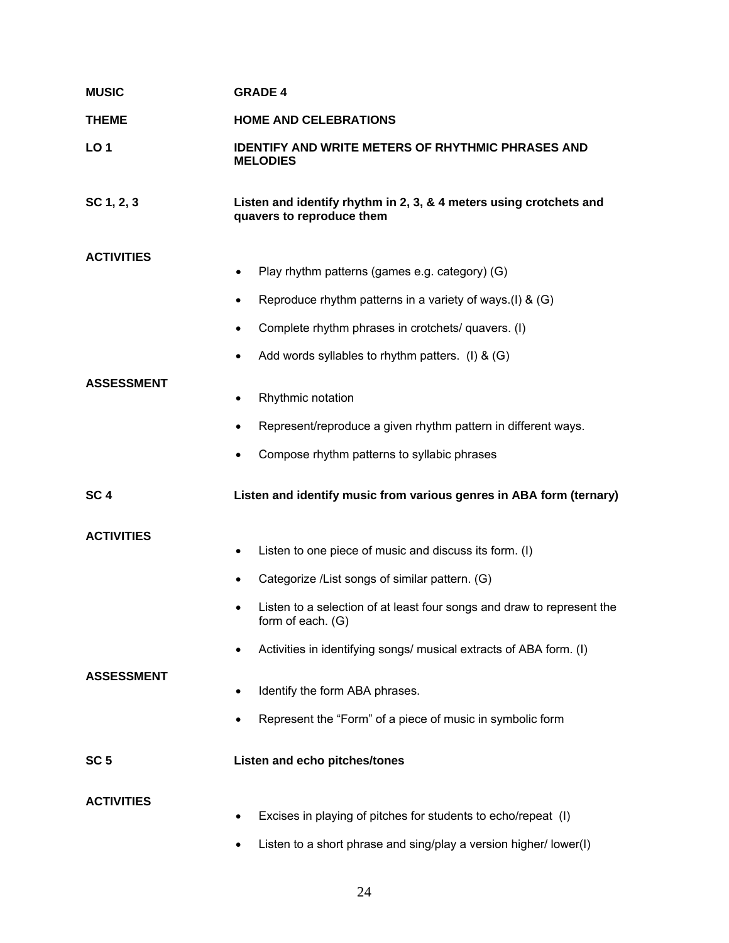| <b>MUSIC</b>                           | <b>GRADE 4</b>                                                                                                                                                                                                                                                                                                       |  |
|----------------------------------------|----------------------------------------------------------------------------------------------------------------------------------------------------------------------------------------------------------------------------------------------------------------------------------------------------------------------|--|
| <b>THEME</b>                           | <b>HOME AND CELEBRATIONS</b>                                                                                                                                                                                                                                                                                         |  |
| <b>LO1</b>                             | <b>IDENTIFY AND WRITE METERS OF RHYTHMIC PHRASES AND</b><br><b>MELODIES</b>                                                                                                                                                                                                                                          |  |
| SC 1, 2, 3                             | Listen and identify rhythm in 2, 3, & 4 meters using crotchets and<br>quavers to reproduce them                                                                                                                                                                                                                      |  |
| <b>ACTIVITIES</b>                      | Play rhythm patterns (games e.g. category) (G)<br>$\bullet$<br>Reproduce rhythm patterns in a variety of ways.(I) & $(G)$<br>٠<br>Complete rhythm phrases in crotchets/ quavers. (I)<br>٠                                                                                                                            |  |
| <b>ASSESSMENT</b>                      | Add words syllables to rhythm patters. (I) & $(G)$<br>Rhythmic notation<br>٠<br>Represent/reproduce a given rhythm pattern in different ways.<br>$\bullet$<br>Compose rhythm patterns to syllabic phrases                                                                                                            |  |
| SC <sub>4</sub>                        | Listen and identify music from various genres in ABA form (ternary)                                                                                                                                                                                                                                                  |  |
| <b>ACTIVITIES</b><br><b>ASSESSMENT</b> | Listen to one piece of music and discuss its form. (I)<br>$\bullet$<br>Categorize /List songs of similar pattern. (G)<br>$\bullet$<br>Listen to a selection of at least four songs and draw to represent the<br>$\bullet$<br>form of each. (G)<br>Activities in identifying songs/ musical extracts of ABA form. (I) |  |
|                                        | Identify the form ABA phrases.<br>Represent the "Form" of a piece of music in symbolic form                                                                                                                                                                                                                          |  |
| SC <sub>5</sub>                        | Listen and echo pitches/tones                                                                                                                                                                                                                                                                                        |  |
| <b>ACTIVITIES</b>                      | Excises in playing of pitches for students to echo/repeat (I)                                                                                                                                                                                                                                                        |  |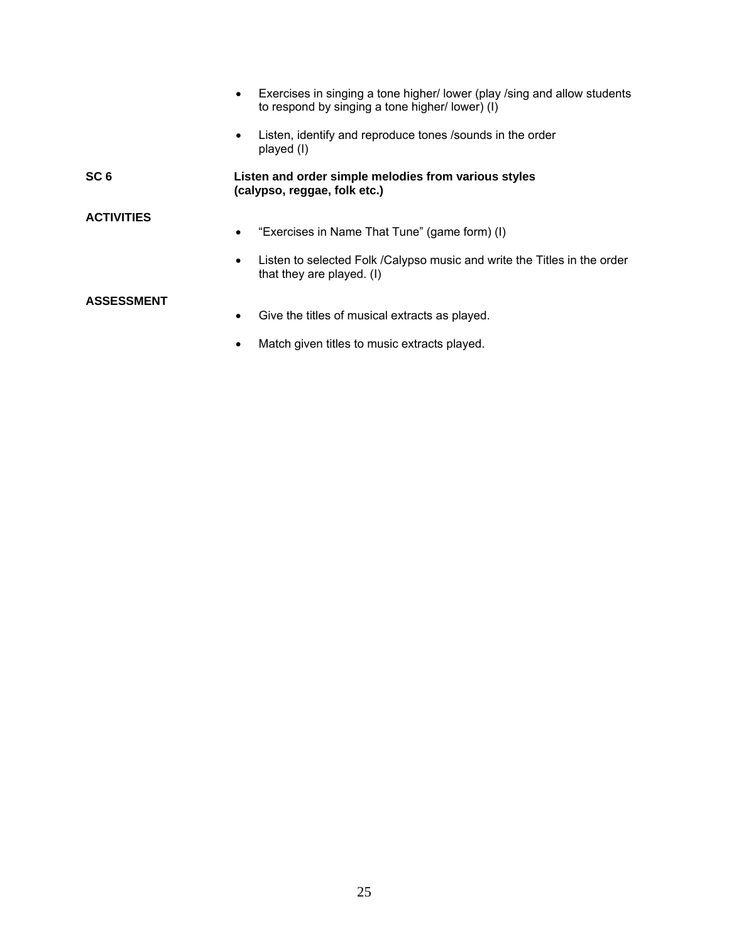|                   | Exercises in singing a tone higher/lower (play /sing and allow students<br>$\bullet$<br>to respond by singing a tone higher/lower) (I) |
|-------------------|----------------------------------------------------------------------------------------------------------------------------------------|
|                   | Listen, identify and reproduce tones /sounds in the order<br>$\bullet$<br>played (I)                                                   |
| SC <sub>6</sub>   | Listen and order simple melodies from various styles<br>(calypso, reggae, folk etc.)                                                   |
| <b>ACTIVITIES</b> | "Exercises in Name That Tune" (game form) (I)<br>$\bullet$                                                                             |
|                   | Listen to selected Folk / Calypso music and write the Titles in the order<br>$\bullet$<br>that they are played. (I)                    |
| <b>ASSESSMENT</b> | Give the titles of musical extracts as played.<br>$\bullet$                                                                            |

• Match given titles to music extracts played.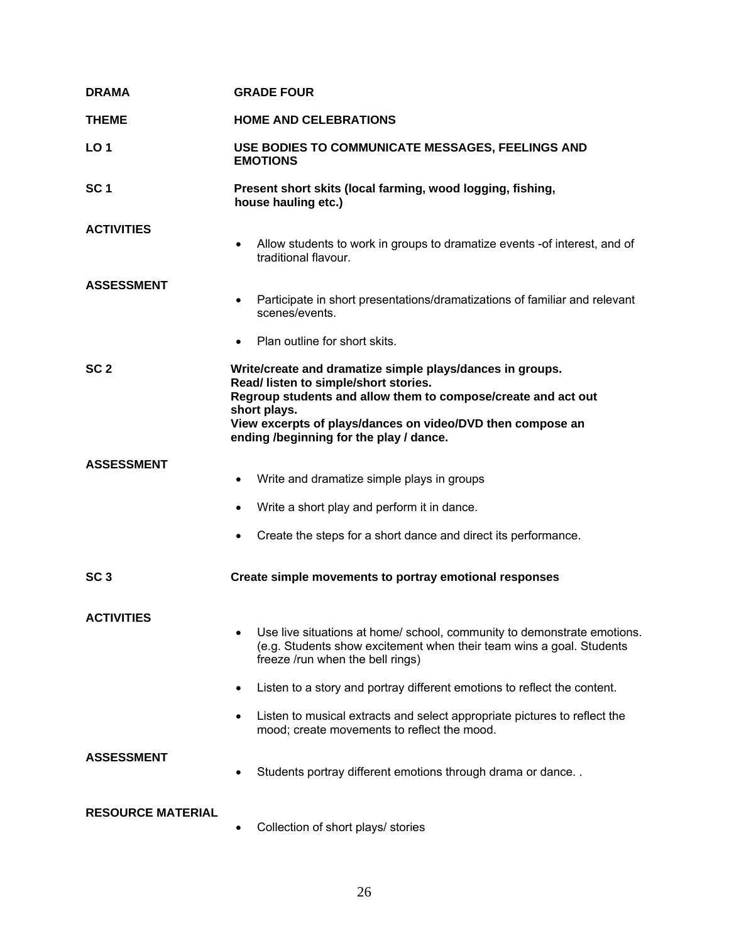| <b>DRAMA</b>             | <b>GRADE FOUR</b>                                                                                                                                                                                                                                                                            |
|--------------------------|----------------------------------------------------------------------------------------------------------------------------------------------------------------------------------------------------------------------------------------------------------------------------------------------|
| <b>THEME</b>             | <b>HOME AND CELEBRATIONS</b>                                                                                                                                                                                                                                                                 |
| LO <sub>1</sub>          | USE BODIES TO COMMUNICATE MESSAGES, FEELINGS AND<br><b>EMOTIONS</b>                                                                                                                                                                                                                          |
| SC <sub>1</sub>          | Present short skits (local farming, wood logging, fishing,<br>house hauling etc.)                                                                                                                                                                                                            |
| <b>ACTIVITIES</b>        | Allow students to work in groups to dramatize events -of interest, and of<br>$\bullet$<br>traditional flavour.                                                                                                                                                                               |
| <b>ASSESSMENT</b>        | Participate in short presentations/dramatizations of familiar and relevant<br>٠<br>scenes/events.                                                                                                                                                                                            |
|                          | Plan outline for short skits.<br>$\bullet$                                                                                                                                                                                                                                                   |
| SC <sub>2</sub>          | Write/create and dramatize simple plays/dances in groups.<br>Read/ listen to simple/short stories.<br>Regroup students and allow them to compose/create and act out<br>short plays.<br>View excerpts of plays/dances on video/DVD then compose an<br>ending /beginning for the play / dance. |
| <b>ASSESSMENT</b>        | Write and dramatize simple plays in groups<br>$\bullet$                                                                                                                                                                                                                                      |
|                          | Write a short play and perform it in dance.<br>$\bullet$                                                                                                                                                                                                                                     |
|                          | Create the steps for a short dance and direct its performance.<br>$\bullet$                                                                                                                                                                                                                  |
| SC <sub>3</sub>          | Create simple movements to portray emotional responses                                                                                                                                                                                                                                       |
| <b>ACTIVITIES</b>        | Use live situations at home/ school, community to demonstrate emotions.<br>$\bullet$<br>(e.g. Students show excitement when their team wins a goal. Students<br>freeze /run when the bell rings)                                                                                             |
|                          | Listen to a story and portray different emotions to reflect the content.<br>$\bullet$                                                                                                                                                                                                        |
|                          | Listen to musical extracts and select appropriate pictures to reflect the<br>$\bullet$<br>mood; create movements to reflect the mood.                                                                                                                                                        |
| <b>ASSESSMENT</b>        | Students portray different emotions through drama or dance                                                                                                                                                                                                                                   |
| <b>RESOURCE MATERIAL</b> | Collection of short plays/ stories<br>$\bullet$                                                                                                                                                                                                                                              |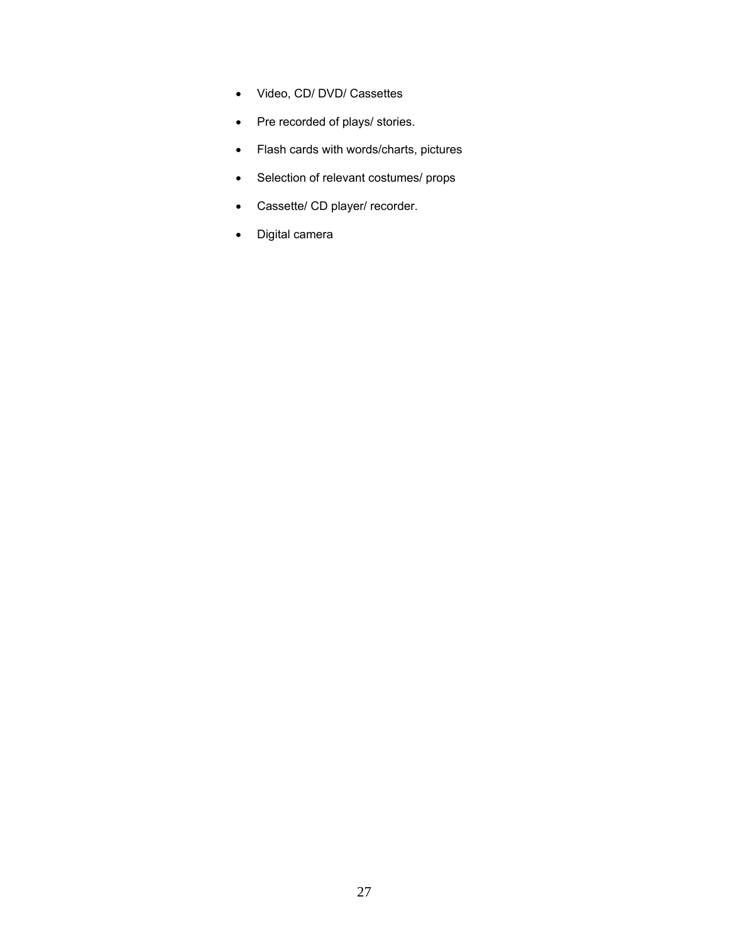- Video, CD/ DVD/ Cassettes
- Pre recorded of plays/ stories.
- Flash cards with words/charts, pictures
- Selection of relevant costumes/ props
- Cassette/ CD player/ recorder.
- Digital camera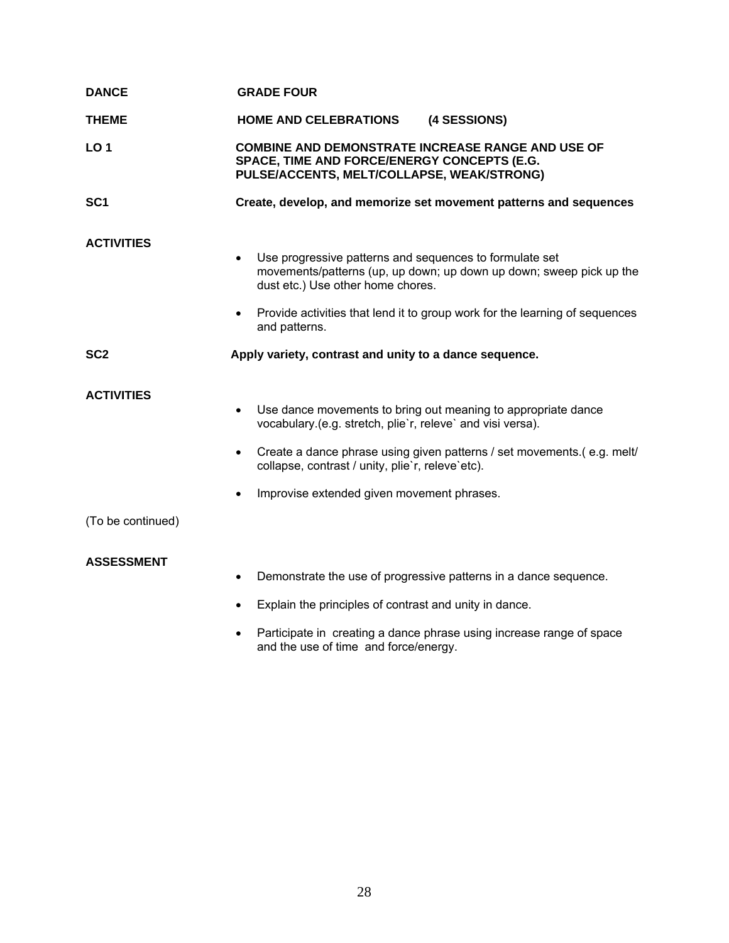| <b>DANCE</b>                           | <b>GRADE FOUR</b>                                                                                                                                                                                                                                                                                                                 |  |
|----------------------------------------|-----------------------------------------------------------------------------------------------------------------------------------------------------------------------------------------------------------------------------------------------------------------------------------------------------------------------------------|--|
| <b>THEME</b>                           | <b>HOME AND CELEBRATIONS</b><br>(4 SESSIONS)                                                                                                                                                                                                                                                                                      |  |
| LO <sub>1</sub>                        | <b>COMBINE AND DEMONSTRATE INCREASE RANGE AND USE OF</b><br>SPACE, TIME AND FORCE/ENERGY CONCEPTS (E.G.<br>PULSE/ACCENTS, MELT/COLLAPSE, WEAK/STRONG)                                                                                                                                                                             |  |
| SC <sub>1</sub>                        | Create, develop, and memorize set movement patterns and sequences                                                                                                                                                                                                                                                                 |  |
| <b>ACTIVITIES</b>                      | Use progressive patterns and sequences to formulate set<br>$\bullet$<br>movements/patterns (up, up down; up down up down; sweep pick up the<br>dust etc.) Use other home chores.<br>Provide activities that lend it to group work for the learning of sequences<br>$\bullet$<br>and patterns.                                     |  |
| SC <sub>2</sub>                        | Apply variety, contrast and unity to a dance sequence.                                                                                                                                                                                                                                                                            |  |
| <b>ACTIVITIES</b><br>(To be continued) | Use dance movements to bring out meaning to appropriate dance<br>$\bullet$<br>vocabulary.(e.g. stretch, plie'r, releve' and visi versa).<br>Create a dance phrase using given patterns / set movements (e.g. melt/<br>$\bullet$<br>collapse, contrast / unity, plie'r, releve'etc).<br>Improvise extended given movement phrases. |  |
| <b>ASSESSMENT</b>                      | Demonstrate the use of progressive patterns in a dance sequence.<br>$\bullet$<br>Explain the principles of contrast and unity in dance.<br>$\bullet$<br>Participate in creating a dance phrase using increase range of space<br>$\bullet$<br>and the use of time and force/energy.                                                |  |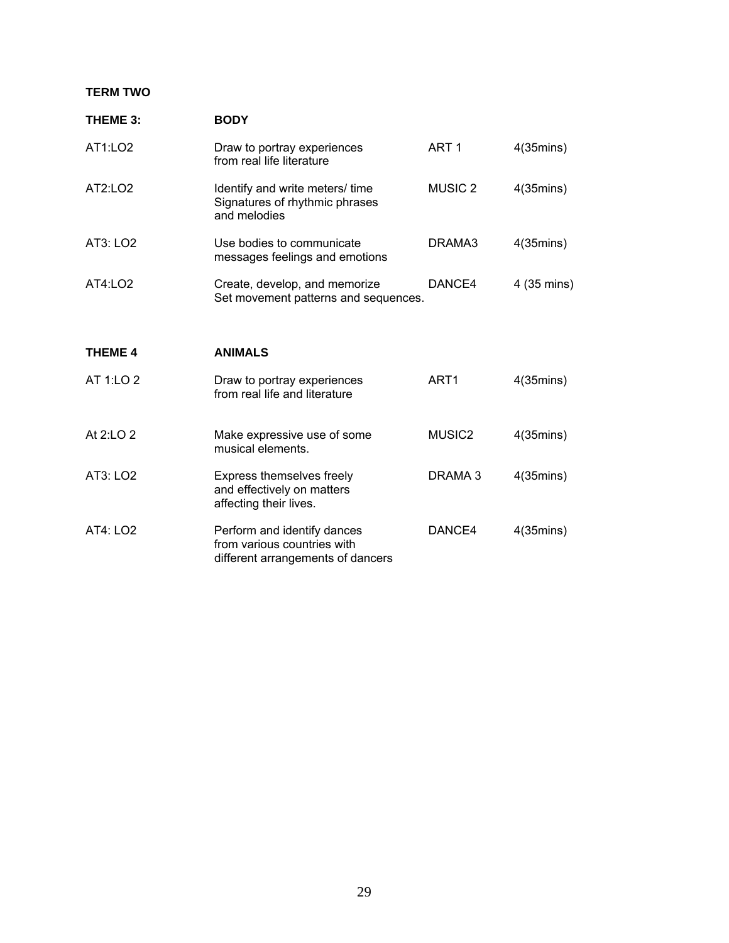## **TERM TWO**

| THEME 3:       | <b>BODY</b>                                                                                     |                    |                     |
|----------------|-------------------------------------------------------------------------------------------------|--------------------|---------------------|
| AT1:LO2        | Draw to portray experiences<br>from real life literature                                        | ART <sub>1</sub>   | $4(35 \text{mins})$ |
| AT2:LO2        | Identify and write meters/ time<br>Signatures of rhythmic phrases<br>and melodies               | <b>MUSIC 2</b>     | $4(35 \text{mins})$ |
| AT3: LO2       | Use bodies to communicate<br>messages feelings and emotions                                     | DRAMA3             | $4(35 \text{mins})$ |
| AT4:LO2        | Create, develop, and memorize<br>Set movement patterns and sequences.                           | DANCE4             | 4 (35 mins)         |
| <b>THEME 4</b> | <b>ANIMALS</b>                                                                                  |                    |                     |
| AT 1:LO 2      | Draw to portray experiences<br>from real life and literature                                    | ART <sub>1</sub>   | $4(35 \text{mins})$ |
| At 2:LO 2      | Make expressive use of some<br>musical elements.                                                | MUSIC <sub>2</sub> | $4(35 \text{mins})$ |
| AT3: LO2       | Express themselves freely<br>and effectively on matters<br>affecting their lives.               | DRAMA 3            | $4(35 \text{mins})$ |
| AT4: LO2       | Perform and identify dances<br>from various countries with<br>different arrangements of dancers | DANCE4             | $4(35 \text{mins})$ |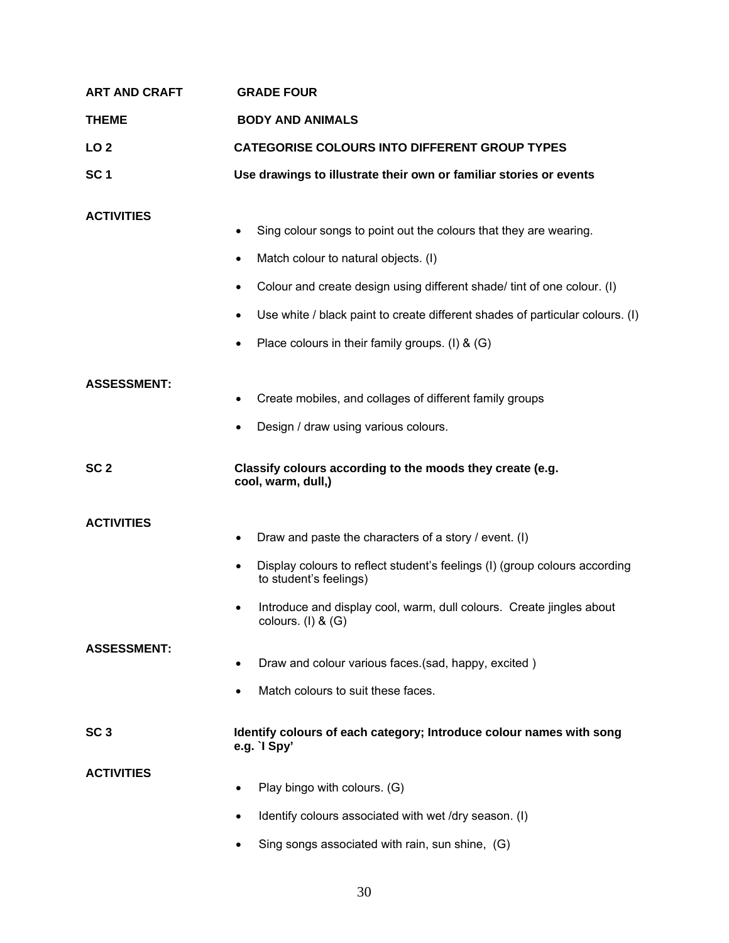| <b>ART AND CRAFT</b> | <b>GRADE FOUR</b>                                                                                                                                                                                                                                                  |  |
|----------------------|--------------------------------------------------------------------------------------------------------------------------------------------------------------------------------------------------------------------------------------------------------------------|--|
| <b>THEME</b>         | <b>BODY AND ANIMALS</b>                                                                                                                                                                                                                                            |  |
| LO <sub>2</sub>      | <b>CATEGORISE COLOURS INTO DIFFERENT GROUP TYPES</b>                                                                                                                                                                                                               |  |
| SC <sub>1</sub>      | Use drawings to illustrate their own or familiar stories or events                                                                                                                                                                                                 |  |
| <b>ACTIVITIES</b>    | Sing colour songs to point out the colours that they are wearing.<br>Match colour to natural objects. (I)<br>$\bullet$                                                                                                                                             |  |
|                      | Colour and create design using different shade/ tint of one colour. (I)                                                                                                                                                                                            |  |
|                      | Use white / black paint to create different shades of particular colours. (I)                                                                                                                                                                                      |  |
|                      | Place colours in their family groups. (I) & (G)                                                                                                                                                                                                                    |  |
| <b>ASSESSMENT:</b>   | Create mobiles, and collages of different family groups<br>Design / draw using various colours.<br>$\bullet$                                                                                                                                                       |  |
| SC <sub>2</sub>      | Classify colours according to the moods they create (e.g.<br>cool, warm, dull,)                                                                                                                                                                                    |  |
| <b>ACTIVITIES</b>    | Draw and paste the characters of a story / event. (I)<br>Display colours to reflect student's feelings (I) (group colours according<br>to student's feelings)<br>Introduce and display cool, warm, dull colours. Create jingles about<br>٠<br>colours. (I) $&$ (G) |  |
| <b>ASSESSMENT:</b>   | Draw and colour various faces.(sad, happy, excited)<br>Match colours to suit these faces.                                                                                                                                                                          |  |
| SC <sub>3</sub>      | Identify colours of each category; Introduce colour names with song<br>e.g. $\log$                                                                                                                                                                                 |  |
| <b>ACTIVITIES</b>    | Play bingo with colours. (G)                                                                                                                                                                                                                                       |  |
|                      | Identify colours associated with wet /dry season. (I)                                                                                                                                                                                                              |  |
|                      | Sing songs associated with rain, sun shine, (G)                                                                                                                                                                                                                    |  |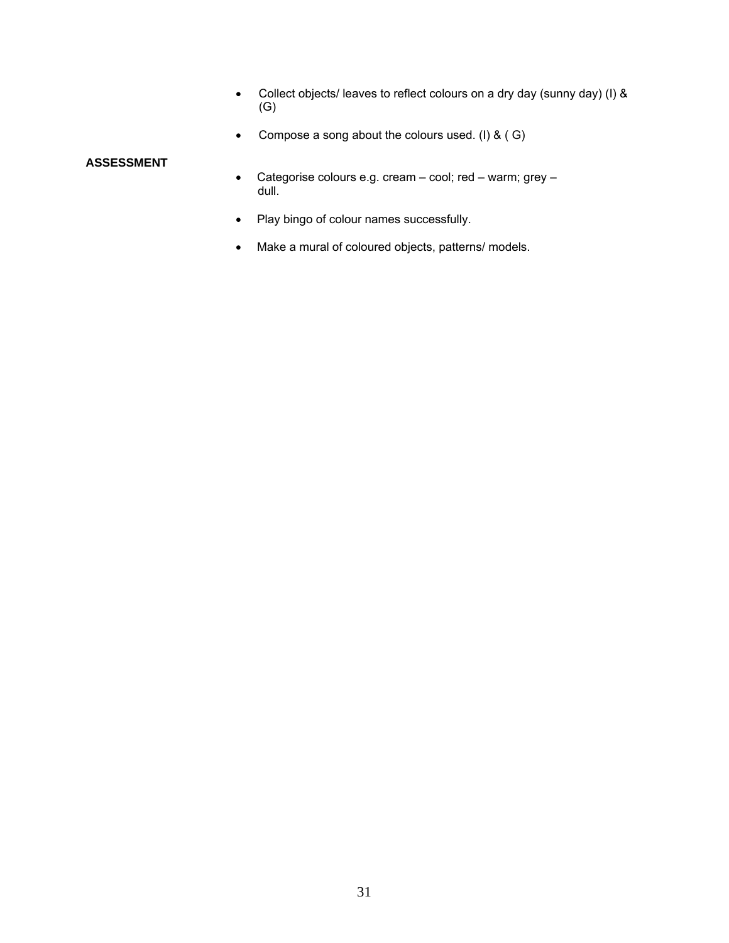- Collect objects/ leaves to reflect colours on a dry day (sunny day) (I) & (G)
- Compose a song about the colours used. (I) & ( G)

#### **ASSESSMENT**

- Categorise colours e.g. cream cool; red warm; grey dull.
- Play bingo of colour names successfully.
- Make a mural of coloured objects, patterns/ models.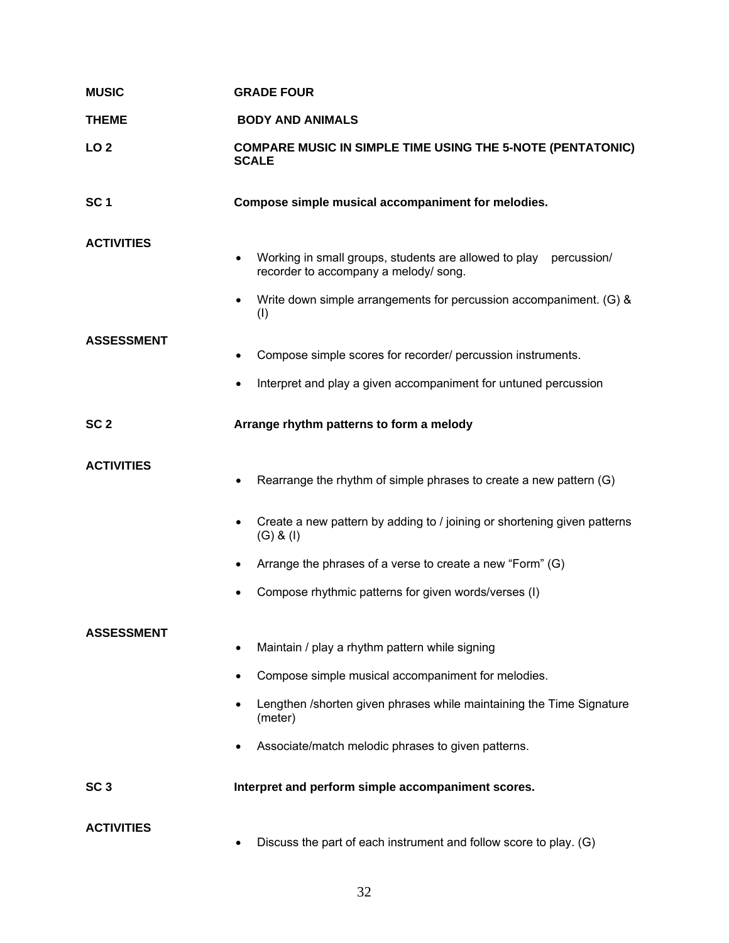| <b>MUSIC</b>      | <b>GRADE FOUR</b>                                                                                                                                                                                                                             |  |
|-------------------|-----------------------------------------------------------------------------------------------------------------------------------------------------------------------------------------------------------------------------------------------|--|
| <b>THEME</b>      | <b>BODY AND ANIMALS</b>                                                                                                                                                                                                                       |  |
| LO <sub>2</sub>   | <b>COMPARE MUSIC IN SIMPLE TIME USING THE 5-NOTE (PENTATONIC)</b><br><b>SCALE</b>                                                                                                                                                             |  |
| SC <sub>1</sub>   | Compose simple musical accompaniment for melodies.                                                                                                                                                                                            |  |
| <b>ACTIVITIES</b> | Working in small groups, students are allowed to play percussion/<br>recorder to accompany a melody/song.<br>Write down simple arrangements for percussion accompaniment. (G) &                                                               |  |
| <b>ASSESSMENT</b> | (1)<br>Compose simple scores for recorder/ percussion instruments.<br>Interpret and play a given accompaniment for untuned percussion                                                                                                         |  |
| SC <sub>2</sub>   | Arrange rhythm patterns to form a melody                                                                                                                                                                                                      |  |
| <b>ACTIVITIES</b> | Rearrange the rhythm of simple phrases to create a new pattern (G)                                                                                                                                                                            |  |
|                   | Create a new pattern by adding to / joining or shortening given patterns<br>$(G)$ & $(I)$                                                                                                                                                     |  |
|                   | Arrange the phrases of a verse to create a new "Form" (G)                                                                                                                                                                                     |  |
|                   | Compose rhythmic patterns for given words/verses (I)                                                                                                                                                                                          |  |
| <b>ASSESSMENT</b> | Maintain / play a rhythm pattern while signing<br>Compose simple musical accompaniment for melodies.<br>Lengthen /shorten given phrases while maintaining the Time Signature<br>(meter)<br>Associate/match melodic phrases to given patterns. |  |
| SC <sub>3</sub>   | Interpret and perform simple accompaniment scores.                                                                                                                                                                                            |  |
| <b>ACTIVITIES</b> | Discuss the part of each instrument and follow score to play. (G)                                                                                                                                                                             |  |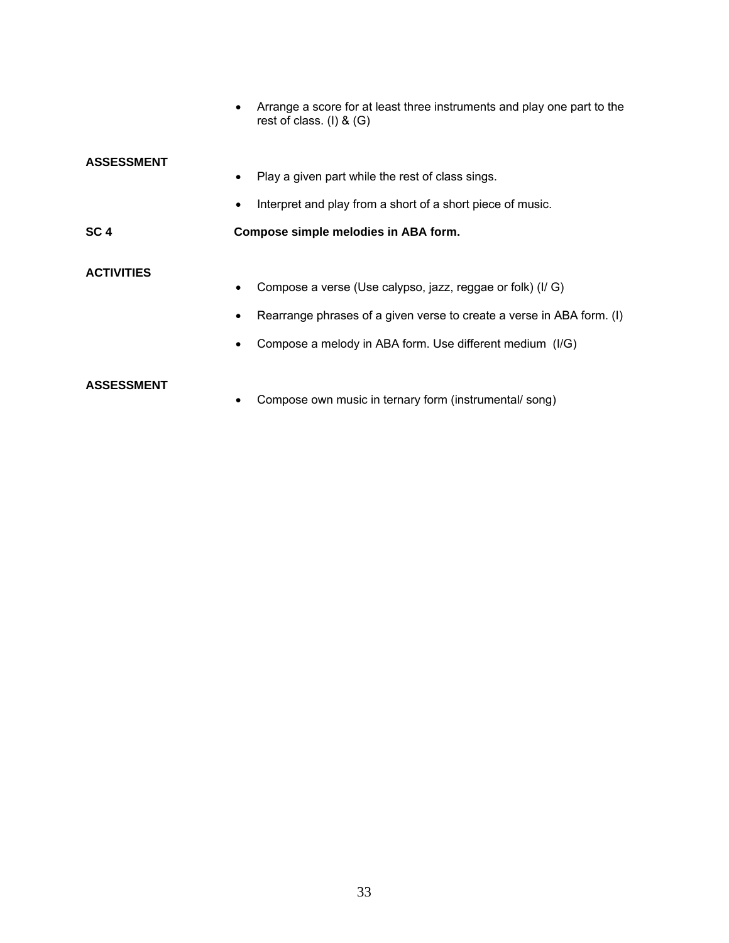|                   | Arrange a score for at least three instruments and play one part to the<br>rest of class. (I) $& (G)$ |
|-------------------|-------------------------------------------------------------------------------------------------------|
| <b>ASSESSMENT</b> |                                                                                                       |
|                   | Play a given part while the rest of class sings.                                                      |
|                   | Interpret and play from a short of a short piece of music.                                            |
| SC <sub>4</sub>   | Compose simple melodies in ABA form.                                                                  |
| <b>ACTIVITIES</b> |                                                                                                       |
|                   | Compose a verse (Use calypso, jazz, reggae or folk) (I/G)                                             |
|                   | Rearrange phrases of a given verse to create a verse in ABA form. (I)                                 |
|                   | Compose a melody in ABA form. Use different medium (I/G)                                              |
| <b>ASSESSMENT</b> |                                                                                                       |

• Compose own music in ternary form (instrumental/ song)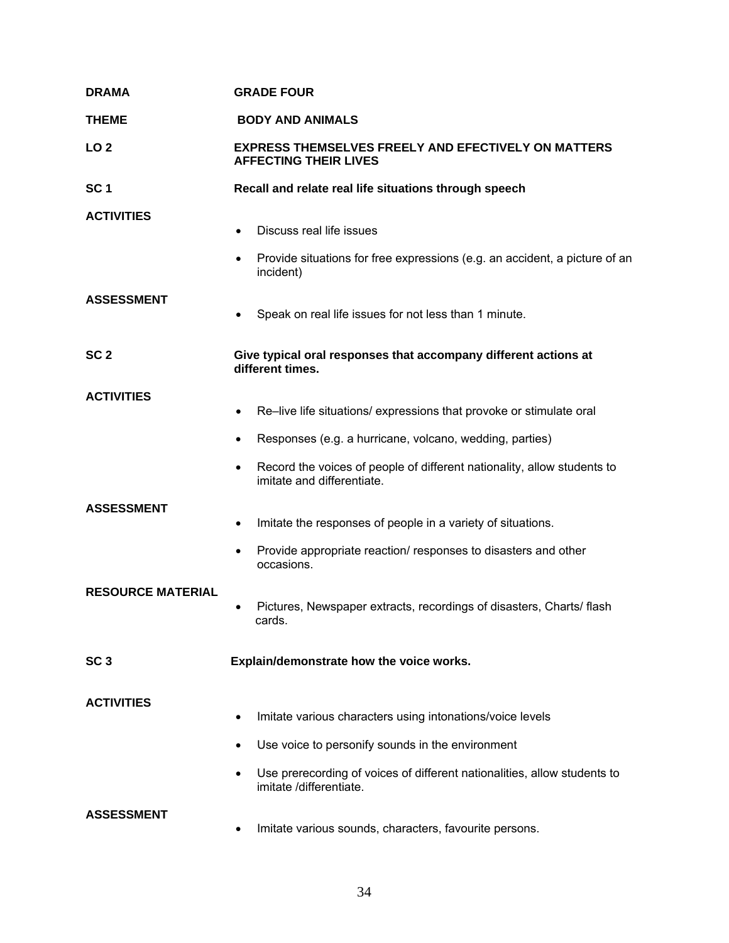| <b>DRAMA</b>             | <b>GRADE FOUR</b>                                                                                          |
|--------------------------|------------------------------------------------------------------------------------------------------------|
| <b>THEME</b>             | <b>BODY AND ANIMALS</b>                                                                                    |
| LO <sub>2</sub>          | <b>EXPRESS THEMSELVES FREELY AND EFECTIVELY ON MATTERS</b><br><b>AFFECTING THEIR LIVES</b>                 |
| SC <sub>1</sub>          | Recall and relate real life situations through speech                                                      |
| <b>ACTIVITIES</b>        | Discuss real life issues                                                                                   |
|                          | Provide situations for free expressions (e.g. an accident, a picture of an<br>incident)                    |
| <b>ASSESSMENT</b>        | Speak on real life issues for not less than 1 minute.                                                      |
| SC <sub>2</sub>          | Give typical oral responses that accompany different actions at<br>different times.                        |
| <b>ACTIVITIES</b>        |                                                                                                            |
|                          | Re-live life situations/ expressions that provoke or stimulate oral<br>$\bullet$                           |
|                          | Responses (e.g. a hurricane, volcano, wedding, parties)<br>٠                                               |
|                          | Record the voices of people of different nationality, allow students to<br>٠<br>imitate and differentiate. |
| <b>ASSESSMENT</b>        | Imitate the responses of people in a variety of situations.<br>٠                                           |
|                          | Provide appropriate reaction/ responses to disasters and other<br>$\bullet$<br>occasions.                  |
| <b>RESOURCE MATERIAL</b> | Pictures, Newspaper extracts, recordings of disasters, Charts/ flash<br>cards.                             |
| SC <sub>3</sub>          | Explain/demonstrate how the voice works.                                                                   |
| <b>ACTIVITIES</b>        |                                                                                                            |
|                          | Imitate various characters using intonations/voice levels<br>$\bullet$                                     |
|                          | Use voice to personify sounds in the environment<br>٠                                                      |
|                          | Use prerecording of voices of different nationalities, allow students to<br>imitate /differentiate.        |
| <b>ASSESSMENT</b>        | Imitate various sounds, characters, favourite persons.                                                     |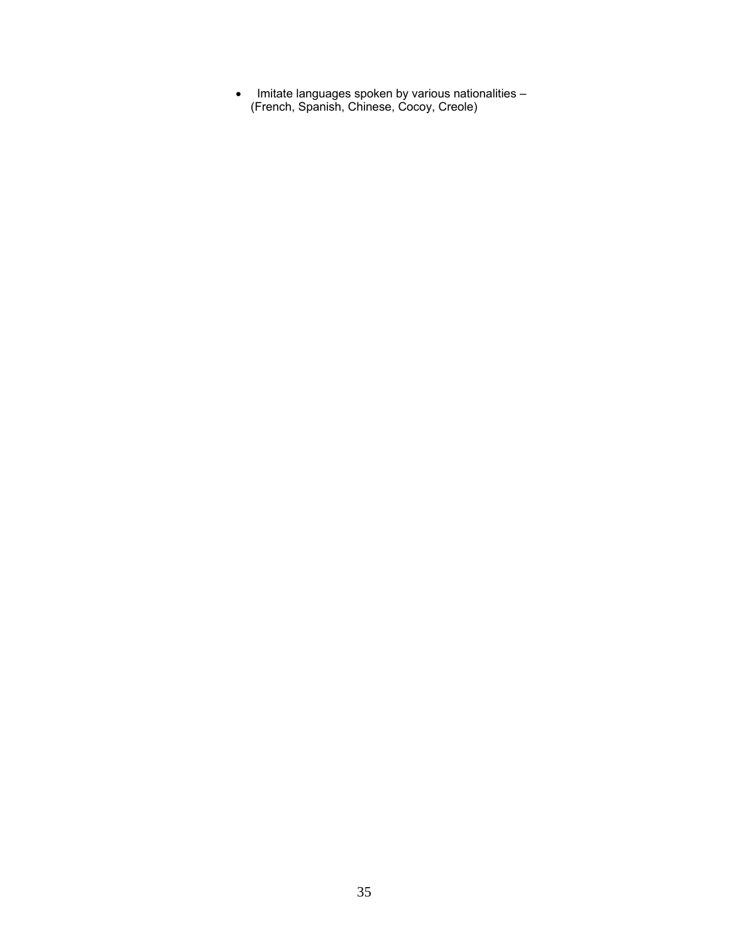• Imitate languages spoken by various nationalities – (French, Spanish, Chinese, Cocoy, Creole)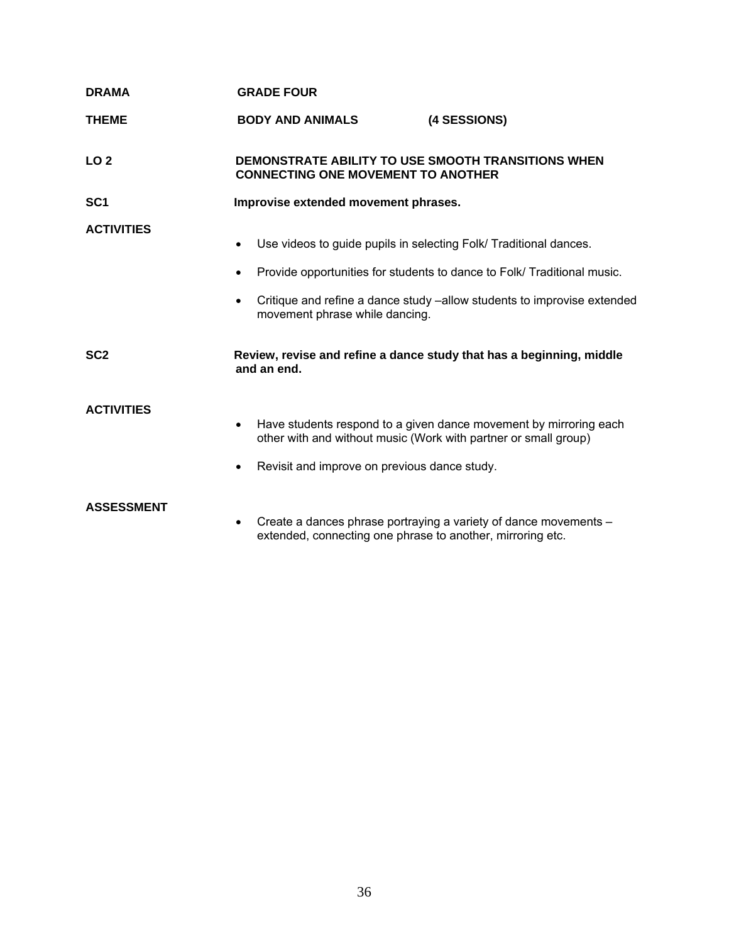| <b>DRAMA</b>      | <b>GRADE FOUR</b>                                                                                               |                                                                                                                                                   |
|-------------------|-----------------------------------------------------------------------------------------------------------------|---------------------------------------------------------------------------------------------------------------------------------------------------|
| <b>THEME</b>      | <b>BODY AND ANIMALS</b>                                                                                         | (4 SESSIONS)                                                                                                                                      |
| LO <sub>2</sub>   | DEMONSTRATE ABILITY TO USE SMOOTH TRANSITIONS WHEN<br><b>CONNECTING ONE MOVEMENT TO ANOTHER</b>                 |                                                                                                                                                   |
| SC <sub>1</sub>   | Improvise extended movement phrases.                                                                            |                                                                                                                                                   |
| <b>ACTIVITIES</b> | Use videos to guide pupils in selecting Folk/ Traditional dances.<br>movement phrase while dancing.             | Provide opportunities for students to dance to Folk/Traditional music.<br>Critique and refine a dance study -allow students to improvise extended |
| SC <sub>2</sub>   | and an end.                                                                                                     | Review, revise and refine a dance study that has a beginning, middle                                                                              |
| <b>ACTIVITIES</b> | other with and without music (Work with partner or small group)<br>Revisit and improve on previous dance study. | Have students respond to a given dance movement by mirroring each                                                                                 |
| <b>ASSESSMENT</b> |                                                                                                                 | $C$ roato a dances phrase pertraving a variety of dance movements                                                                                 |

• Create a dances phrase portraying a variety of dance movements – extended, connecting one phrase to another, mirroring etc.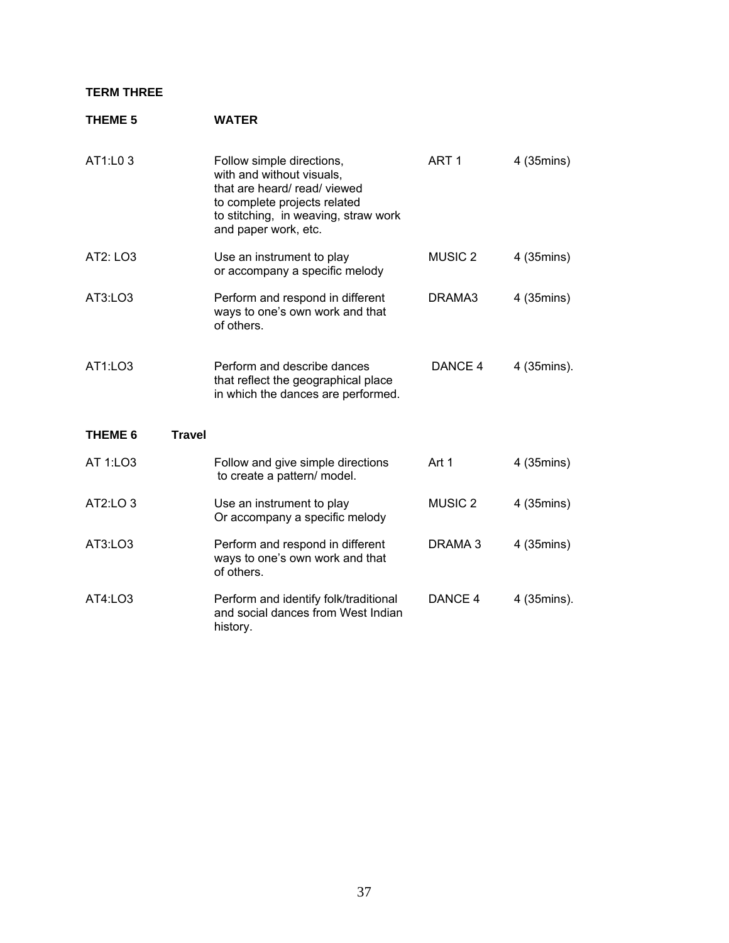### **TERM THREE**

### **THEME 5 WATER**

| AT1:L0 3                            | Follow simple directions,<br>with and without visuals,<br>that are heard/read/viewed<br>to complete projects related<br>to stitching, in weaving, straw work<br>and paper work, etc. | ART <sub>1</sub> | 4 (35mins)  |
|-------------------------------------|--------------------------------------------------------------------------------------------------------------------------------------------------------------------------------------|------------------|-------------|
| AT2: LO3                            | Use an instrument to play<br>or accompany a specific melody                                                                                                                          | <b>MUSIC 2</b>   | 4 (35mins)  |
| AT3:LO3                             | Perform and respond in different<br>ways to one's own work and that<br>of others.                                                                                                    | DRAMA3           | 4 (35mins)  |
| AT1:LO3                             | Perform and describe dances<br>that reflect the geographical place<br>in which the dances are performed.                                                                             | DANCE 4          | 4 (35mins). |
| <b>Travel</b><br>THEME <sub>6</sub> |                                                                                                                                                                                      |                  |             |
| AT 1:LO3                            | Follow and give simple directions<br>to create a pattern/ model.                                                                                                                     | Art 1            | 4 (35mins)  |
| AT2:LO 3                            | Use an instrument to play<br>Or accompany a specific melody                                                                                                                          | <b>MUSIC 2</b>   | 4 (35mins)  |
| AT3:LO3                             | Perform and respond in different<br>ways to one's own work and that<br>of others.                                                                                                    | DRAMA 3          | 4 (35mins)  |
| AT4:LO3                             | Perform and identify folk/traditional<br>and social dances from West Indian<br>history.                                                                                              | DANCE 4          | 4 (35mins). |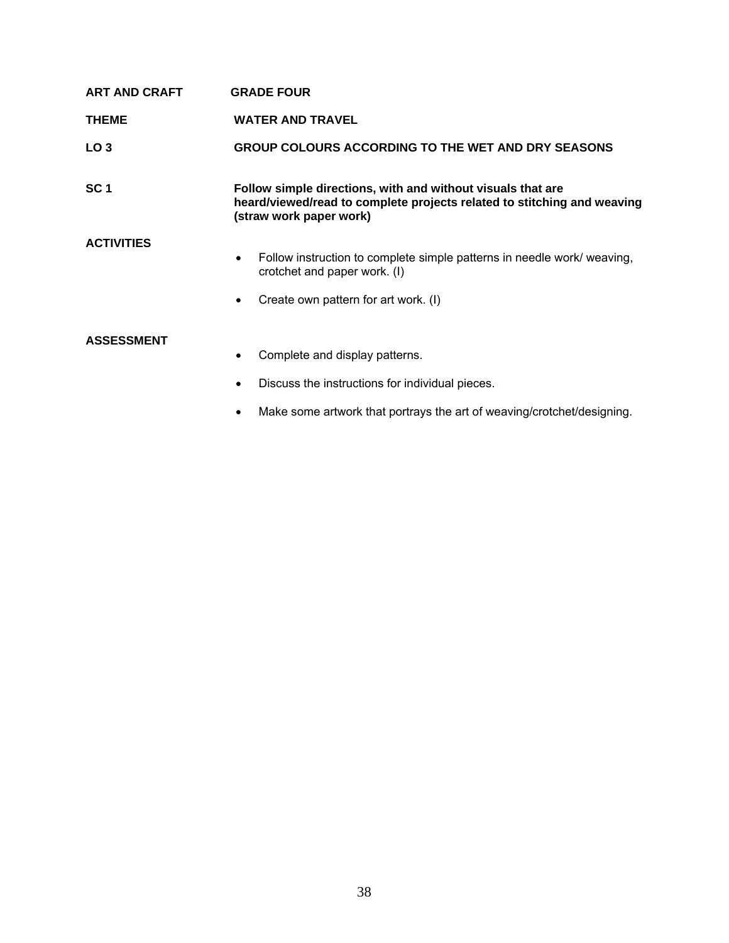| <b>ART AND CRAFT</b> | <b>GRADE FOUR</b>                                                                                                                                                         |
|----------------------|---------------------------------------------------------------------------------------------------------------------------------------------------------------------------|
| <b>THEME</b>         | <b>WATER AND TRAVEL</b>                                                                                                                                                   |
| LO <sub>3</sub>      | <b>GROUP COLOURS ACCORDING TO THE WET AND DRY SEASONS</b>                                                                                                                 |
| SC <sub>1</sub>      | Follow simple directions, with and without visuals that are<br>heard/viewed/read to complete projects related to stitching and weaving<br>(straw work paper work)         |
| <b>ACTIVITIES</b>    | Follow instruction to complete simple patterns in needle work/ weaving,<br>$\bullet$<br>crotchet and paper work. (I)<br>Create own pattern for art work. (I)<br>$\bullet$ |
| <b>ASSESSMENT</b>    | Complete and display patterns.<br>٠                                                                                                                                       |

- Discuss the instructions for individual pieces.
- Make some artwork that portrays the art of weaving/crotchet/designing.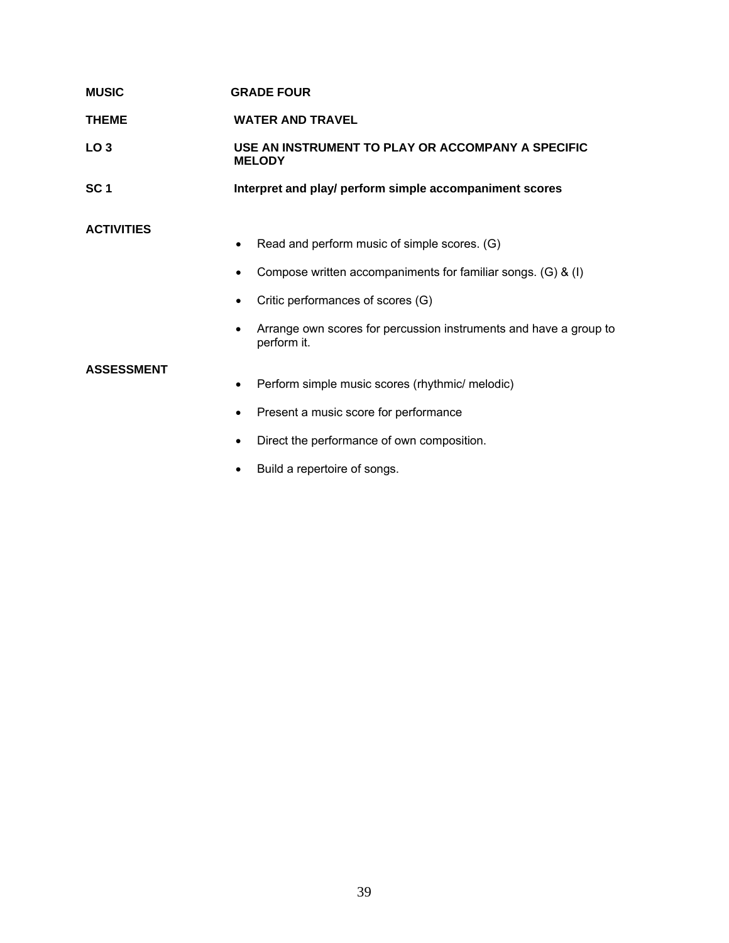| <b>MUSIC</b>    | <b>GRADE FOUR</b>                                                  |
|-----------------|--------------------------------------------------------------------|
| <b>THEME</b>    | <b>WATER AND TRAVEL</b>                                            |
| LO 3            | USE AN INSTRUMENT TO PLAY OR ACCOMPANY A SPECIFIC<br><b>MELODY</b> |
| SC <sub>1</sub> | Interpret and play/ perform simple accompaniment scores            |

## **ACTIVITIES**

- Read and perform music of simple scores. (G)
- Compose written accompaniments for familiar songs. (G) & (I)
- Critic performances of scores (G)
- Arrange own scores for percussion instruments and have a group to perform it.

### **ASSESSMENT**

- Perform simple music scores (rhythmic/ melodic)
- Present a music score for performance
- Direct the performance of own composition.
- Build a repertoire of songs.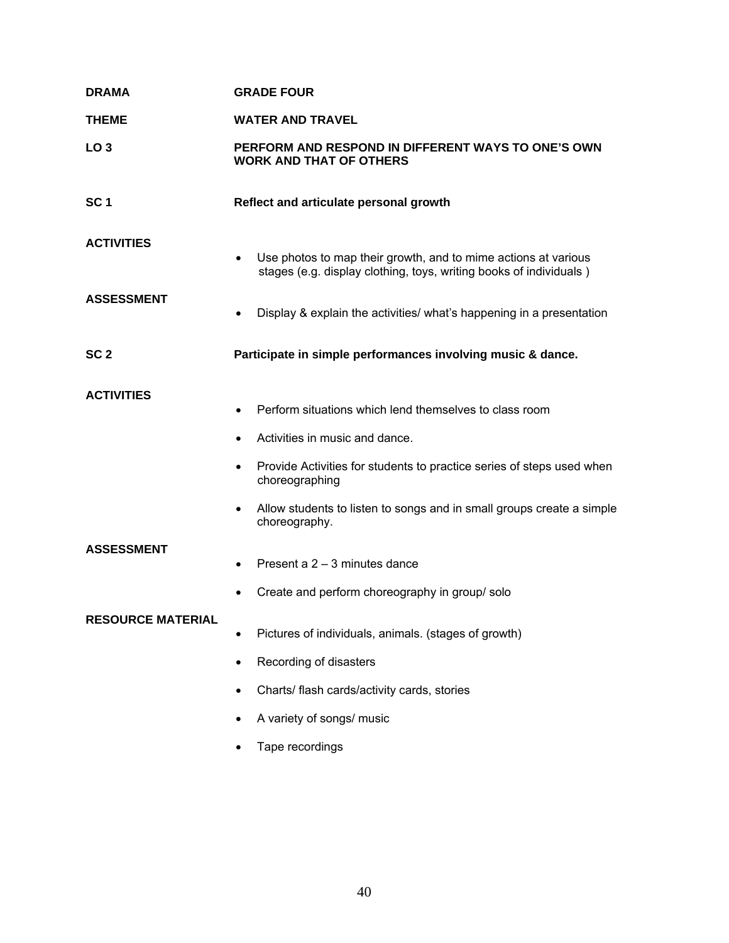| <b>DRAMA</b>             | <b>GRADE FOUR</b>                                                                                                                                 |  |
|--------------------------|---------------------------------------------------------------------------------------------------------------------------------------------------|--|
| <b>THEME</b>             | <b>WATER AND TRAVEL</b>                                                                                                                           |  |
| LO <sub>3</sub>          | PERFORM AND RESPOND IN DIFFERENT WAYS TO ONE'S OWN<br><b>WORK AND THAT OF OTHERS</b>                                                              |  |
| SC <sub>1</sub>          | Reflect and articulate personal growth                                                                                                            |  |
| <b>ACTIVITIES</b>        | Use photos to map their growth, and to mime actions at various<br>$\bullet$<br>stages (e.g. display clothing, toys, writing books of individuals) |  |
| <b>ASSESSMENT</b>        | Display & explain the activities/ what's happening in a presentation<br>$\bullet$                                                                 |  |
| SC <sub>2</sub>          | Participate in simple performances involving music & dance.                                                                                       |  |
| <b>ACTIVITIES</b>        | Perform situations which lend themselves to class room<br>$\bullet$<br>Activities in music and dance.                                             |  |
|                          | Provide Activities for students to practice series of steps used when<br>choreographing                                                           |  |
|                          | Allow students to listen to songs and in small groups create a simple<br>$\bullet$<br>choreography.                                               |  |
| <b>ASSESSMENT</b>        | Present a 2 - 3 minutes dance<br>$\bullet$<br>Create and perform choreography in group/solo                                                       |  |
| <b>RESOURCE MATERIAL</b> | Pictures of individuals, animals. (stages of growth)                                                                                              |  |
|                          |                                                                                                                                                   |  |
|                          | Recording of disasters                                                                                                                            |  |
|                          | Charts/ flash cards/activity cards, stories                                                                                                       |  |
|                          | A variety of songs/ music                                                                                                                         |  |
|                          | Tape recordings                                                                                                                                   |  |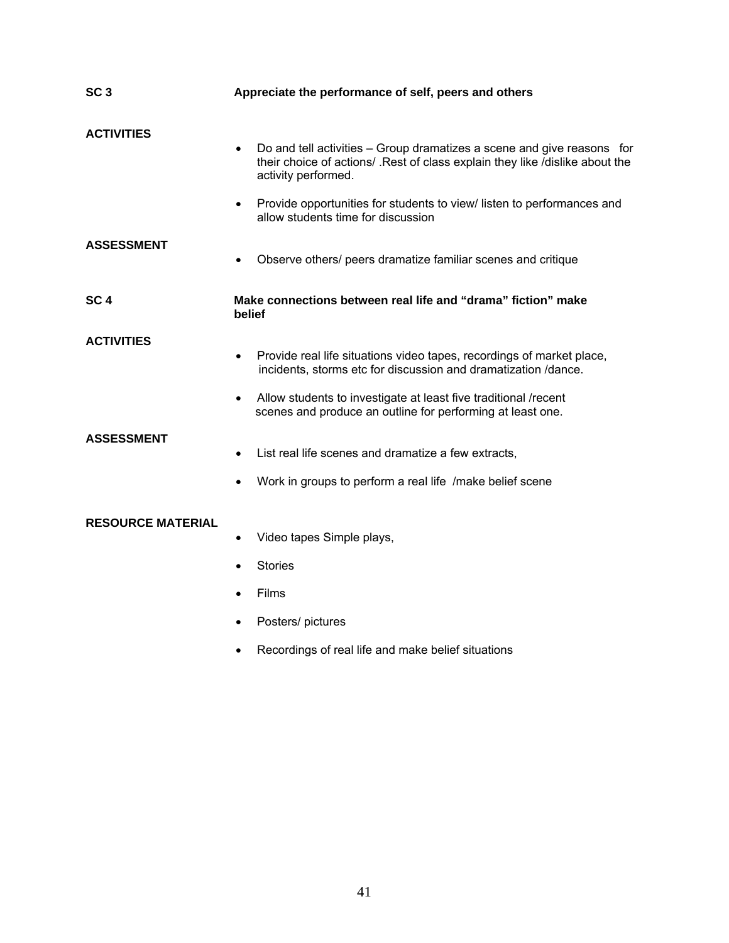| SC <sub>3</sub>          | Appreciate the performance of self, peers and others                                                                                                                                                            |  |
|--------------------------|-----------------------------------------------------------------------------------------------------------------------------------------------------------------------------------------------------------------|--|
| <b>ACTIVITIES</b>        | Do and tell activities - Group dramatizes a scene and give reasons for<br>$\bullet$<br>their choice of actions/ . Rest of class explain they like /dislike about the<br>activity performed.                     |  |
|                          | Provide opportunities for students to view/ listen to performances and<br>$\bullet$<br>allow students time for discussion                                                                                       |  |
| <b>ASSESSMENT</b>        | Observe others/ peers dramatize familiar scenes and critique                                                                                                                                                    |  |
| SC <sub>4</sub>          | Make connections between real life and "drama" fiction" make<br>belief                                                                                                                                          |  |
| <b>ACTIVITIES</b>        | Provide real life situations video tapes, recordings of market place,<br>incidents, storms etc for discussion and dramatization /dance.<br>Allow students to investigate at least five traditional /recent<br>٠ |  |
| <b>ASSESSMENT</b>        | scenes and produce an outline for performing at least one.<br>List real life scenes and dramatize a few extracts,<br>$\bullet$                                                                                  |  |
|                          | Work in groups to perform a real life /make belief scene                                                                                                                                                        |  |
| <b>RESOURCE MATERIAL</b> | Video tapes Simple plays,<br>$\bullet$<br><b>Stories</b><br>Films                                                                                                                                               |  |
|                          | Posters/ pictures<br>$\bullet$<br>Recordings of real life and make belief situations                                                                                                                            |  |